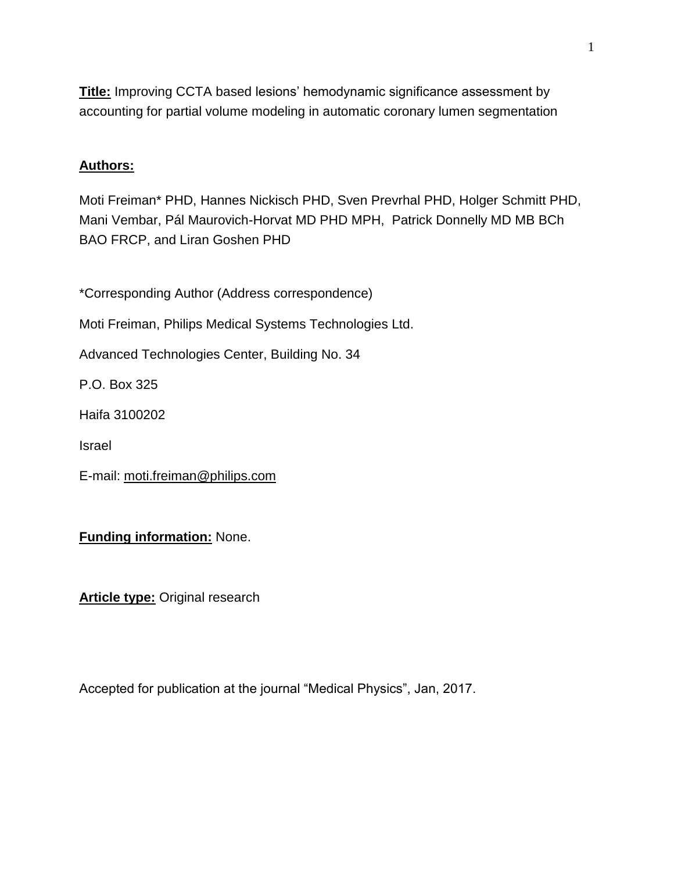**Title:** Improving CCTA based lesions' hemodynamic significance assessment by accounting for partial volume modeling in automatic coronary lumen segmentation

# **Authors:**

Moti Freiman\* PHD, Hannes Nickisch PHD, Sven Prevrhal PHD, Holger Schmitt PHD, Mani Vembar, Pál Maurovich-Horvat MD PHD MPH, Patrick Donnelly MD MB BCh BAO FRCP, and Liran Goshen PHD

\*Corresponding Author (Address correspondence)

Moti Freiman, Philips Medical Systems Technologies Ltd.

Advanced Technologies Center, Building No. 34

P.O. Box 325

Haifa 3100202

Israel

E-mail: [moti.freiman@philips.com](mailto:moti.freiman@philips.com)

# **Funding information:** None.

**Article type:** Original research

Accepted for publication at the journal "Medical Physics", Jan, 2017.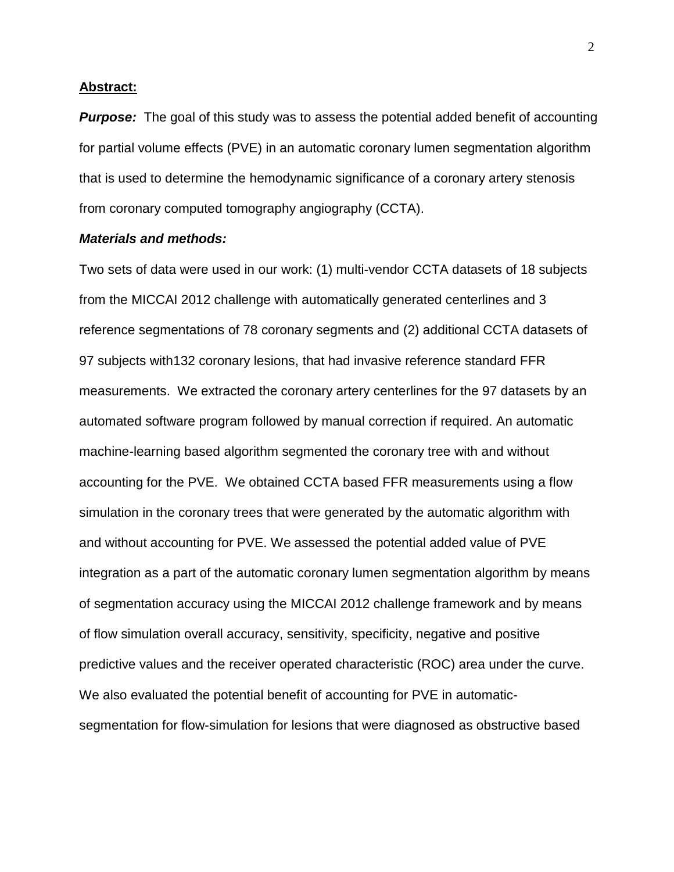#### **Abstract:**

*Purpose:* The goal of this study was to assess the potential added benefit of accounting for partial volume effects (PVE) in an automatic coronary lumen segmentation algorithm that is used to determine the hemodynamic significance of a coronary artery stenosis from coronary computed tomography angiography (CCTA).

### *Materials and methods:*

Two sets of data were used in our work: (1) multi-vendor CCTA datasets of 18 subjects from the MICCAI 2012 challenge with automatically generated centerlines and 3 reference segmentations of 78 coronary segments and (2) additional CCTA datasets of 97 subjects with132 coronary lesions, that had invasive reference standard FFR measurements. We extracted the coronary artery centerlines for the 97 datasets by an automated software program followed by manual correction if required. An automatic machine-learning based algorithm segmented the coronary tree with and without accounting for the PVE. We obtained CCTA based FFR measurements using a flow simulation in the coronary trees that were generated by the automatic algorithm with and without accounting for PVE. We assessed the potential added value of PVE integration as a part of the automatic coronary lumen segmentation algorithm by means of segmentation accuracy using the MICCAI 2012 challenge framework and by means of flow simulation overall accuracy, sensitivity, specificity, negative and positive predictive values and the receiver operated characteristic (ROC) area under the curve. We also evaluated the potential benefit of accounting for PVE in automaticsegmentation for flow-simulation for lesions that were diagnosed as obstructive based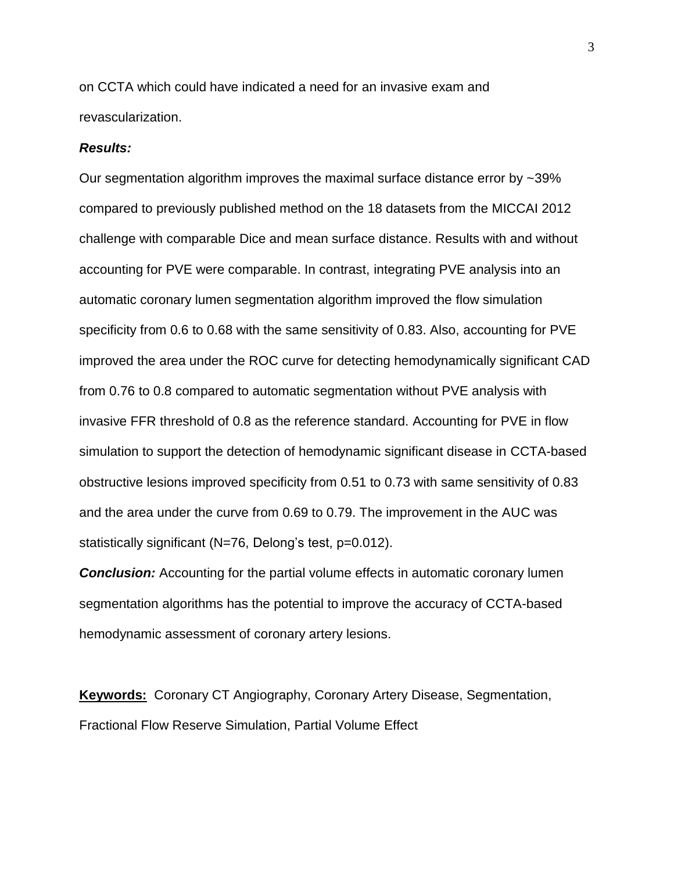on CCTA which could have indicated a need for an invasive exam and revascularization.

#### *Results:*

Our segmentation algorithm improves the maximal surface distance error by ~39% compared to previously published method on the 18 datasets from the MICCAI 2012 challenge with comparable Dice and mean surface distance. Results with and without accounting for PVE were comparable. In contrast, integrating PVE analysis into an automatic coronary lumen segmentation algorithm improved the flow simulation specificity from 0.6 to 0.68 with the same sensitivity of 0.83. Also, accounting for PVE improved the area under the ROC curve for detecting hemodynamically significant CAD from 0.76 to 0.8 compared to automatic segmentation without PVE analysis with invasive FFR threshold of 0.8 as the reference standard. Accounting for PVE in flow simulation to support the detection of hemodynamic significant disease in CCTA-based obstructive lesions improved specificity from 0.51 to 0.73 with same sensitivity of 0.83 and the area under the curve from 0.69 to 0.79. The improvement in the AUC was statistically significant (N=76, Delong's test, p=0.012).

**Conclusion:** Accounting for the partial volume effects in automatic coronary lumen segmentation algorithms has the potential to improve the accuracy of CCTA-based hemodynamic assessment of coronary artery lesions.

**Keywords:** Coronary CT Angiography, Coronary Artery Disease, Segmentation, Fractional Flow Reserve Simulation, Partial Volume Effect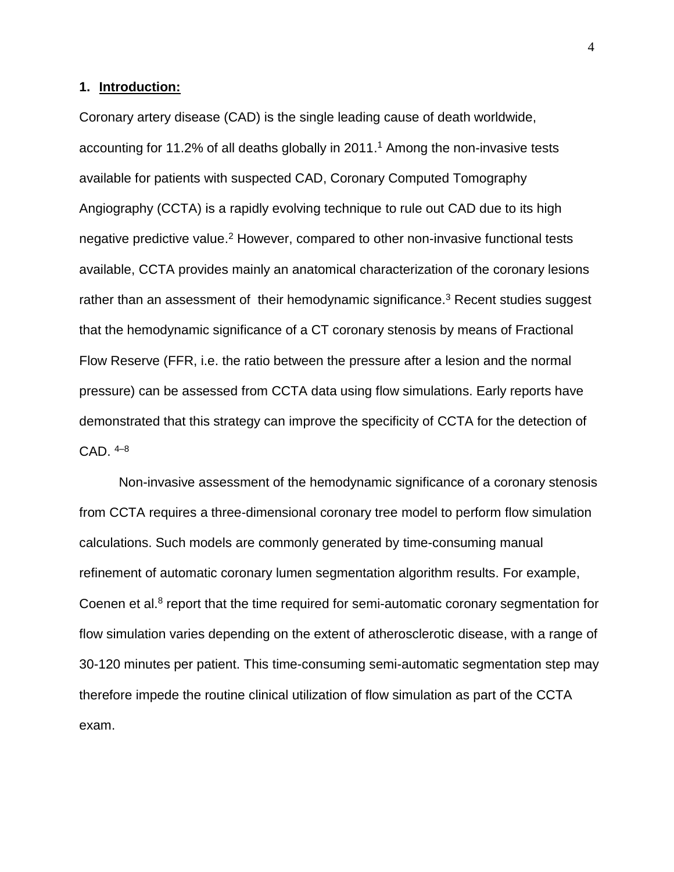## **1. Introduction:**

Coronary artery disease (CAD) is the single leading cause of death worldwide, accounting for 11.2% of all deaths globally in 2011. <sup>1</sup> Among the non-invasive tests available for patients with suspected CAD, Coronary Computed Tomography Angiography (CCTA) is a rapidly evolving technique to rule out CAD due to its high negative predictive value.<sup>2</sup> However, compared to other non-invasive functional tests available, CCTA provides mainly an anatomical characterization of the coronary lesions rather than an assessment of their hemodynamic significance.<sup>3</sup> Recent studies suggest that the hemodynamic significance of a CT coronary stenosis by means of Fractional Flow Reserve (FFR, i.e. the ratio between the pressure after a lesion and the normal pressure) can be assessed from CCTA data using flow simulations. Early reports have demonstrated that this strategy can improve the specificity of CCTA for the detection of CAD. 4–8

Non-invasive assessment of the hemodynamic significance of a coronary stenosis from CCTA requires a three-dimensional coronary tree model to perform flow simulation calculations. Such models are commonly generated by time-consuming manual refinement of automatic coronary lumen segmentation algorithm results. For example, Coenen et al.<sup>8</sup> report that the time required for semi-automatic coronary segmentation for flow simulation varies depending on the extent of atherosclerotic disease, with a range of 30-120 minutes per patient. This time-consuming semi-automatic segmentation step may therefore impede the routine clinical utilization of flow simulation as part of the CCTA exam.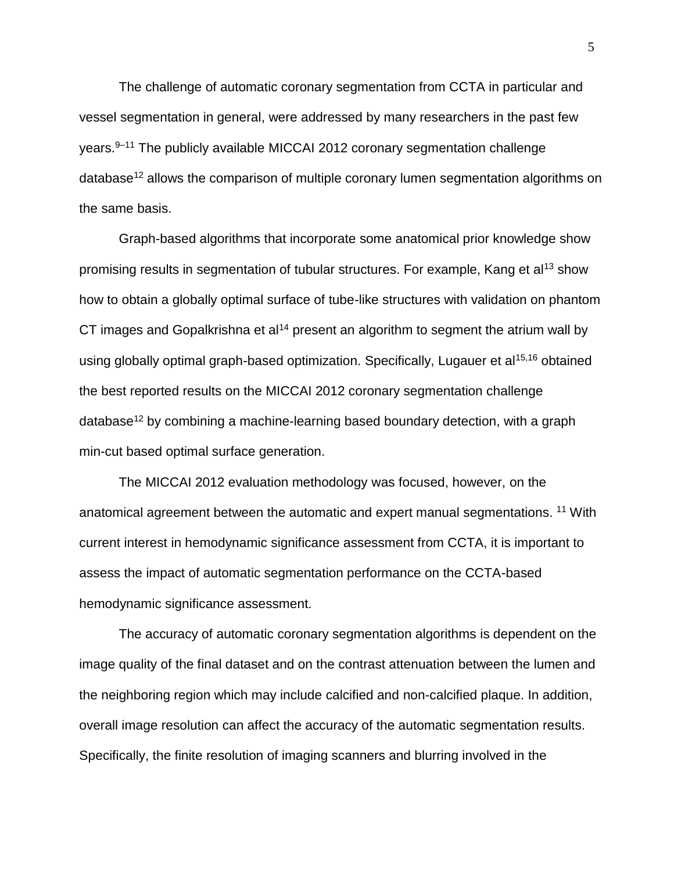The challenge of automatic coronary segmentation from CCTA in particular and vessel segmentation in general, were addressed by many researchers in the past few years.9–11 The publicly available MICCAI 2012 coronary segmentation challenge database<sup>12</sup> allows the comparison of multiple coronary lumen segmentation algorithms on the same basis.

Graph-based algorithms that incorporate some anatomical prior knowledge show promising results in segmentation of tubular structures. For example, Kang et al<sup>13</sup> show how to obtain a globally optimal surface of tube-like structures with validation on phantom CT images and Gopalkrishna et al<sup>14</sup> present an algorithm to segment the atrium wall by using globally optimal graph-based optimization. Specifically, Lugauer et al<sup>15,16</sup> obtained the best reported results on the MICCAI 2012 coronary segmentation challenge database<sup>12</sup> by combining a machine-learning based boundary detection, with a graph min-cut based optimal surface generation.

The MICCAI 2012 evaluation methodology was focused, however, on the anatomical agreement between the automatic and expert manual segmentations. <sup>11</sup> With current interest in hemodynamic significance assessment from CCTA, it is important to assess the impact of automatic segmentation performance on the CCTA-based hemodynamic significance assessment.

The accuracy of automatic coronary segmentation algorithms is dependent on the image quality of the final dataset and on the contrast attenuation between the lumen and the neighboring region which may include calcified and non-calcified plaque. In addition, overall image resolution can affect the accuracy of the automatic segmentation results. Specifically, the finite resolution of imaging scanners and blurring involved in the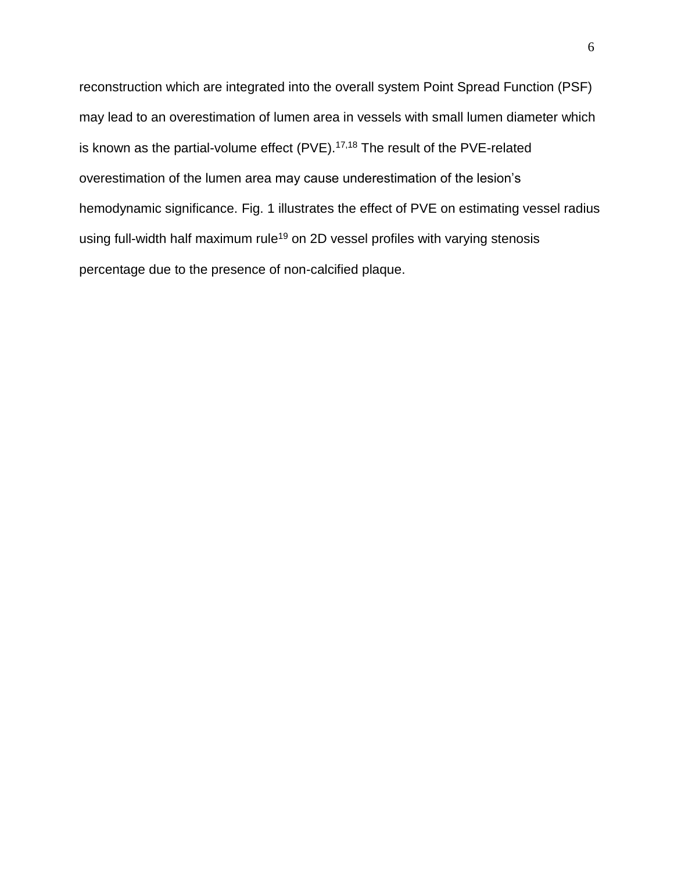reconstruction which are integrated into the overall system Point Spread Function (PSF) may lead to an overestimation of lumen area in vessels with small lumen diameter which is known as the partial-volume effect (PVE).<sup>17,18</sup> The result of the PVE-related overestimation of the lumen area may cause underestimation of the lesion's hemodynamic significance. Fig. 1 illustrates the effect of PVE on estimating vessel radius using full-width half maximum rule<sup>19</sup> on 2D vessel profiles with varying stenosis percentage due to the presence of non-calcified plaque.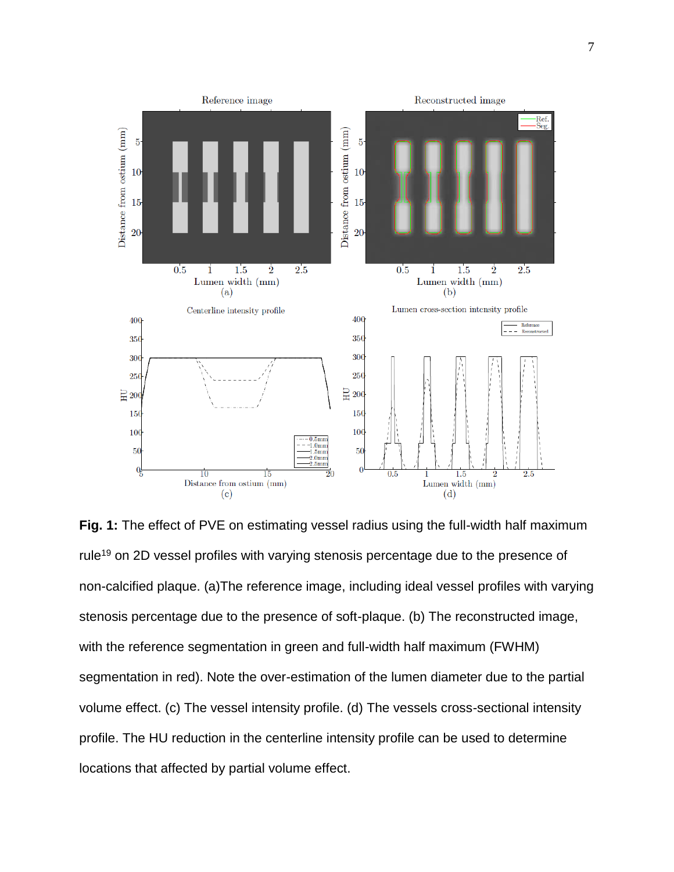

**Fig. 1:** The effect of PVE on estimating vessel radius using the full-width half maximum rule<sup>19</sup> on 2D vessel profiles with varying stenosis percentage due to the presence of non-calcified plaque. (a)The reference image, including ideal vessel profiles with varying stenosis percentage due to the presence of soft-plaque. (b) The reconstructed image, with the reference segmentation in green and full-width half maximum (FWHM) segmentation in red). Note the over-estimation of the lumen diameter due to the partial volume effect. (c) The vessel intensity profile. (d) The vessels cross-sectional intensity profile. The HU reduction in the centerline intensity profile can be used to determine locations that affected by partial volume effect.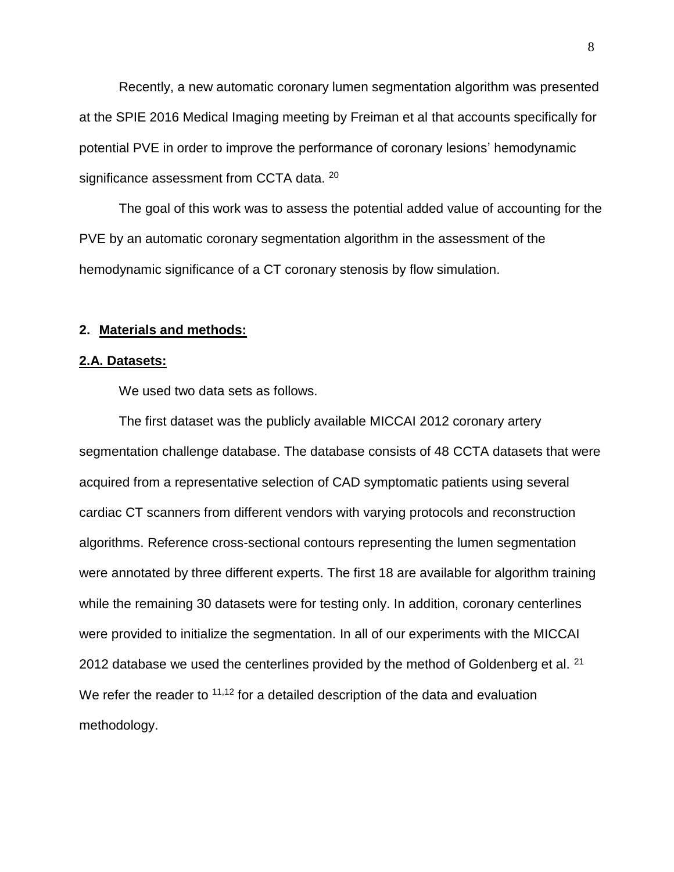Recently, a new automatic coronary lumen segmentation algorithm was presented at the SPIE 2016 Medical Imaging meeting by Freiman et al that accounts specifically for potential PVE in order to improve the performance of coronary lesions' hemodynamic significance assessment from CCTA data. <sup>20</sup>

The goal of this work was to assess the potential added value of accounting for the PVE by an automatic coronary segmentation algorithm in the assessment of the hemodynamic significance of a CT coronary stenosis by flow simulation.

## **2. Materials and methods:**

#### **2.A. Datasets:**

We used two data sets as follows.

The first dataset was the publicly available MICCAI 2012 coronary artery segmentation challenge database. The database consists of 48 CCTA datasets that were acquired from a representative selection of CAD symptomatic patients using several cardiac CT scanners from different vendors with varying protocols and reconstruction algorithms. Reference cross-sectional contours representing the lumen segmentation were annotated by three different experts. The first 18 are available for algorithm training while the remaining 30 datasets were for testing only. In addition, coronary centerlines were provided to initialize the segmentation. In all of our experiments with the MICCAI 2012 database we used the centerlines provided by the method of Goldenberg et al.  $21$ We refer the reader to <sup>11,12</sup> for a detailed description of the data and evaluation methodology.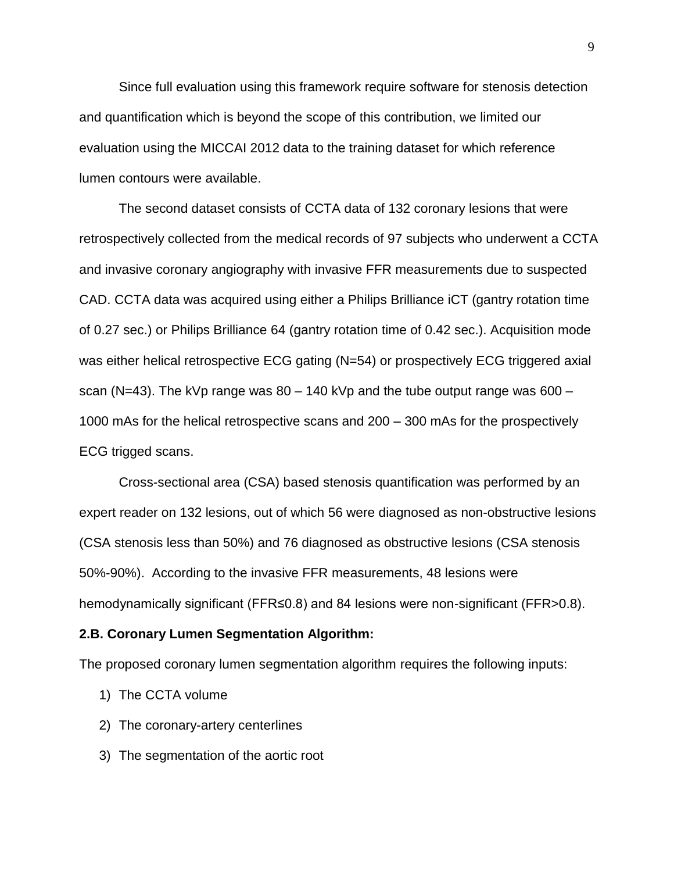Since full evaluation using this framework require software for stenosis detection and quantification which is beyond the scope of this contribution, we limited our evaluation using the MICCAI 2012 data to the training dataset for which reference lumen contours were available.

The second dataset consists of CCTA data of 132 coronary lesions that were retrospectively collected from the medical records of 97 subjects who underwent a CCTA and invasive coronary angiography with invasive FFR measurements due to suspected CAD. CCTA data was acquired using either a Philips Brilliance iCT (gantry rotation time of 0.27 sec.) or Philips Brilliance 64 (gantry rotation time of 0.42 sec.). Acquisition mode was either helical retrospective ECG gating (N=54) or prospectively ECG triggered axial scan (N=43). The kVp range was  $80 - 140$  kVp and the tube output range was  $600 -$ 1000 mAs for the helical retrospective scans and 200 – 300 mAs for the prospectively ECG trigged scans.

Cross-sectional area (CSA) based stenosis quantification was performed by an expert reader on 132 lesions, out of which 56 were diagnosed as non-obstructive lesions (CSA stenosis less than 50%) and 76 diagnosed as obstructive lesions (CSA stenosis 50%-90%). According to the invasive FFR measurements, 48 lesions were hemodynamically significant (FFR≤0.8) and 84 lesions were non-significant (FFR>0.8).

#### **2.B. Coronary Lumen Segmentation Algorithm:**

The proposed coronary lumen segmentation algorithm requires the following inputs:

- 1) The CCTA volume
- 2) The coronary-artery centerlines
- 3) The segmentation of the aortic root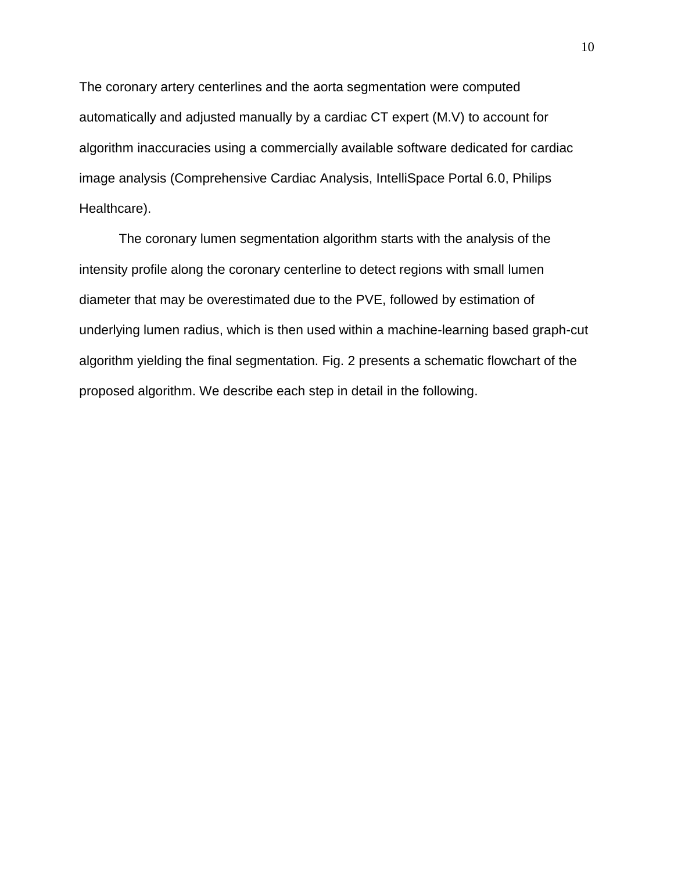The coronary artery centerlines and the aorta segmentation were computed automatically and adjusted manually by a cardiac CT expert (M.V) to account for algorithm inaccuracies using a commercially available software dedicated for cardiac image analysis (Comprehensive Cardiac Analysis, IntelliSpace Portal 6.0, Philips Healthcare).

The coronary lumen segmentation algorithm starts with the analysis of the intensity profile along the coronary centerline to detect regions with small lumen diameter that may be overestimated due to the PVE, followed by estimation of underlying lumen radius, which is then used within a machine-learning based graph-cut algorithm yielding the final segmentation. Fig. 2 presents a schematic flowchart of the proposed algorithm. We describe each step in detail in the following.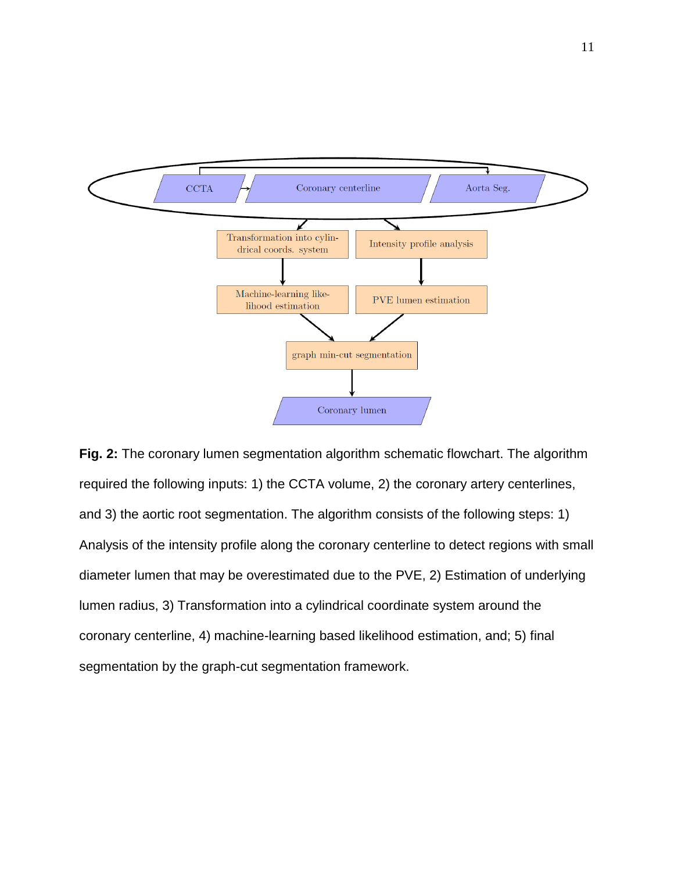

**Fig. 2:** The coronary lumen segmentation algorithm schematic flowchart. The algorithm required the following inputs: 1) the CCTA volume, 2) the coronary artery centerlines, and 3) the aortic root segmentation. The algorithm consists of the following steps: 1) Analysis of the intensity profile along the coronary centerline to detect regions with small diameter lumen that may be overestimated due to the PVE, 2) Estimation of underlying lumen radius, 3) Transformation into a cylindrical coordinate system around the coronary centerline, 4) machine-learning based likelihood estimation, and; 5) final segmentation by the graph-cut segmentation framework.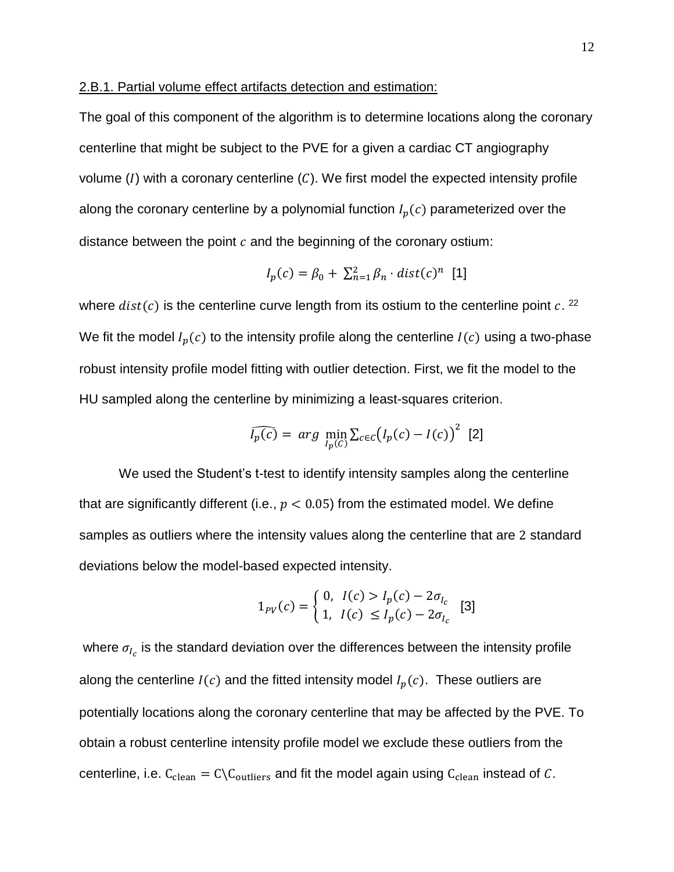### 2.B.1. Partial volume effect artifacts detection and estimation:

The goal of this component of the algorithm is to determine locations along the coronary centerline that might be subject to the PVE for a given a cardiac CT angiography volume  $(I)$  with a coronary centerline  $(C)$ . We first model the expected intensity profile along the coronary centerline by a polynomial function  $I_p(c)$  parameterized over the distance between the point  $c$  and the beginning of the coronary ostium:

$$
I_p(c) = \beta_0 + \sum_{n=1}^2 \beta_n \cdot dist(c)^n
$$
 [1]

where  $dist(c)$  is the centerline curve length from its ostium to the centerline point  $c$ . <sup>22</sup> We fit the model  $I_p(c)$  to the intensity profile along the centerline  $I(c)$  using a two-phase robust intensity profile model fitting with outlier detection. First, we fit the model to the HU sampled along the centerline by minimizing a least-squares criterion.

$$
\widehat{I_p(c)} = arg \min_{I_p(c)} \sum_{c \in c} (I_p(c) - I(c))^2
$$
 [2]

We used the Student's t-test to identify intensity samples along the centerline that are significantly different (i.e.,  $p < 0.05$ ) from the estimated model. We define samples as outliers where the intensity values along the centerline that are 2 standard deviations below the model-based expected intensity.

$$
1_{PV}(c) = \begin{cases} 0, & l(c) > l_p(c) - 2\sigma_{I_c} \\ 1, & l(c) \leq I_p(c) - 2\sigma_{I_c} \end{cases}
$$
 [3]

where  $\sigma_{I_c}$  is the standard deviation over the differences between the intensity profile along the centerline  $I(c)$  and the fitted intensity model  $I_n(c)$ . These outliers are potentially locations along the coronary centerline that may be affected by the PVE. To obtain a robust centerline intensity profile model we exclude these outliers from the centerline, i.e.  $C_{clean} = C\setminus C_{outliers}$  and fit the model again using  $C_{clean}$  instead of C.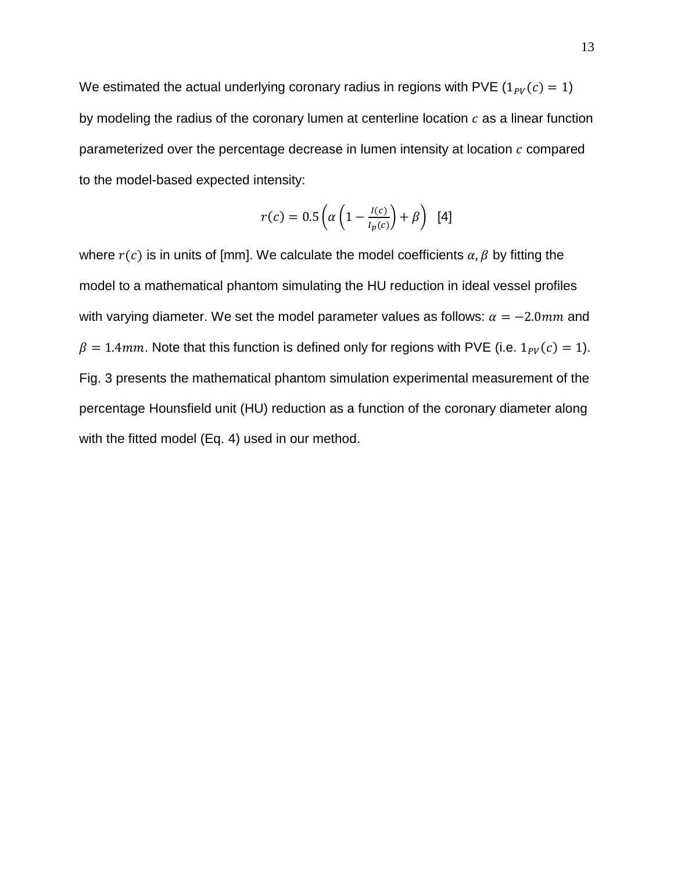We estimated the actual underlying coronary radius in regions with PVE  $(1_{PV}(c) = 1)$ by modeling the radius of the coronary lumen at centerline location  $c$  as a linear function parameterized over the percentage decrease in lumen intensity at location  $c$  compared to the model-based expected intensity:

$$
r(c) = 0.5\left(\alpha\left(1 - \frac{I(c)}{I_p(c)}\right) + \beta\right)
$$
 [4]

where  $r(c)$  is in units of [mm]. We calculate the model coefficients  $\alpha$ ,  $\beta$  by fitting the model to a mathematical phantom simulating the HU reduction in ideal vessel profiles with varying diameter. We set the model parameter values as follows:  $\alpha = -2.0$ mm and  $\beta = 1.4$ mm. Note that this function is defined only for regions with PVE (i.e.  $1_{PV}(c) = 1$ ). Fig. 3 presents the mathematical phantom simulation experimental measurement of the percentage Hounsfield unit (HU) reduction as a function of the coronary diameter along with the fitted model (Eq. 4) used in our method.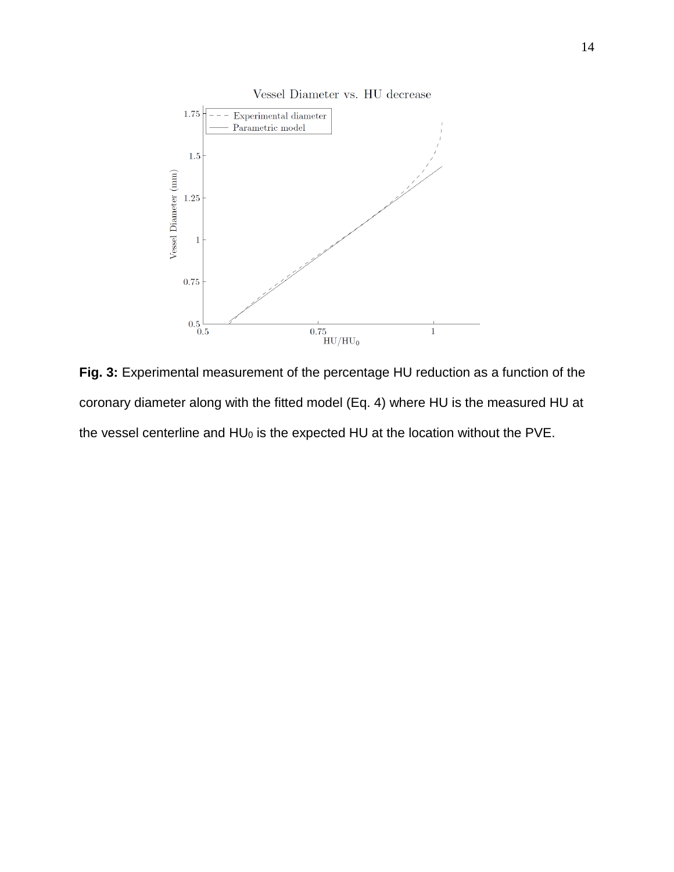

**Fig. 3:** Experimental measurement of the percentage HU reduction as a function of the coronary diameter along with the fitted model (Eq. 4) where HU is the measured HU at the vessel centerline and HU<sub>0</sub> is the expected HU at the location without the PVE.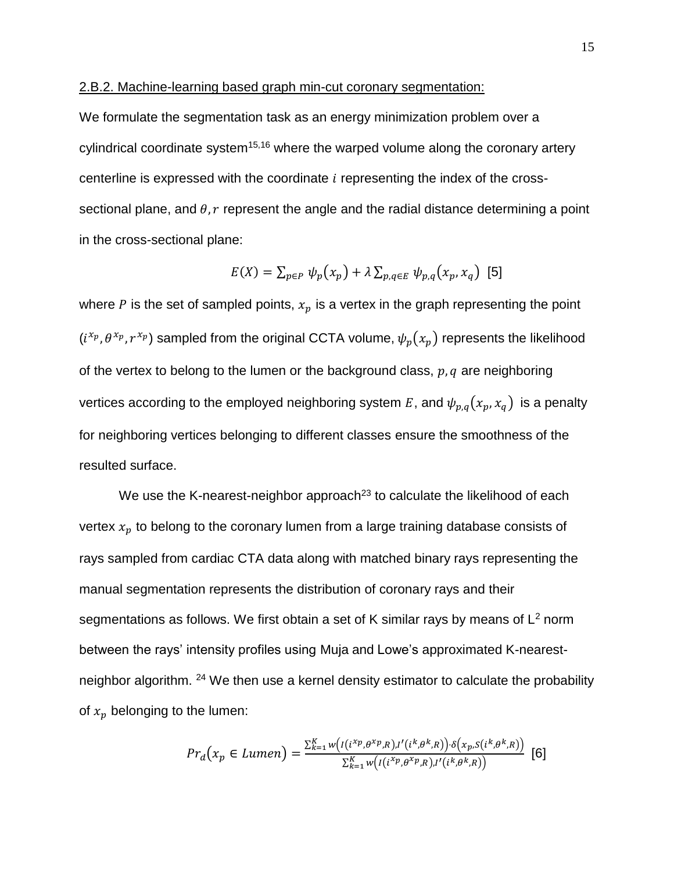### 2.B.2. Machine-learning based graph min-cut coronary segmentation:

We formulate the segmentation task as an energy minimization problem over a cylindrical coordinate system $15,16$  where the warped volume along the coronary artery centerline is expressed with the coordinate  $i$  representing the index of the crosssectional plane, and  $\theta$ ,  $r$  represent the angle and the radial distance determining a point in the cross-sectional plane:

$$
E(X) = \sum_{p \in P} \psi_p(x_p) + \lambda \sum_{p,q \in E} \psi_{p,q}(x_p, x_q)
$$
 [5]

where  $P$  is the set of sampled points,  $x_p$  is a vertex in the graph representing the point  $(i^{x_p},\theta^{x_p},r^{x_p})$  sampled from the original CCTA volume,  $\psi_p(x_p)$  represents the likelihood of the vertex to belong to the lumen or the background class,  $p, q$  are neighboring vertices according to the employed neighboring system E, and  $\psi_{p,q}(x_p, x_q)$  is a penalty for neighboring vertices belonging to different classes ensure the smoothness of the resulted surface.

We use the K-nearest-neighbor approach $^{23}$  to calculate the likelihood of each vertex  $x_p$  to belong to the coronary lumen from a large training database consists of rays sampled from cardiac CTA data along with matched binary rays representing the manual segmentation represents the distribution of coronary rays and their segmentations as follows. We first obtain a set of K similar rays by means of  $L^2$  norm between the rays' intensity profiles using Muja and Lowe's approximated K-nearestneighbor algorithm. <sup>24</sup> We then use a kernel density estimator to calculate the probability of  $x_p$  belonging to the lumen:

$$
Pr_{d}(x_{p} \in Lumen) = \frac{\sum_{k=1}^{K} w\left(\frac{I(i^{x_{p}}\theta^{x_{p}}\beta) \cdot I'(i^{k}\theta^{k}\beta)}{\sum_{k=1}^{K} w\left(\frac{I(i^{x_{p}}\theta^{x_{p}}\beta) \cdot I'(i^{k}\theta^{k}\beta)}{\sum_{k=1}^{K} V(\frac{I(i^{x_{p}}\theta^{x_{p}}\beta) \cdot I'(i^{k}\theta^{k}\beta)}{\sum_{k=1}^{K} V(\frac{I(i^{x_{p}}\theta^{x_{p}}\beta) \cdot I'(i^{k}\theta^{k}\beta)}{\sum_{k=1}^{K} V(\frac{I(i^{x_{p}}\beta^{x_{p}}\beta) \cdot I'(i^{k}\beta^{k}\beta)}{\sum_{k=1}^{K} V(\frac{I(i^{x_{p}}\beta^{x_{p}}\beta) \cdot I'(i^{k}\beta^{k}\beta)}{\sum_{k=1}^{K} V(\frac{I(i^{x_{p}}\beta^{x_{p}}\beta) \cdot I'(i^{k}\beta^{k}\beta)}{\sum_{k=1}^{K} V(\frac{I(i^{x_{p}}\beta^{x_{p}}\beta) \cdot I'(i^{k}\beta^{k}\beta)}{\sum_{k=1}^{K} V(\frac{I(i^{x_{p}}\beta^{x_{p}}\beta) \cdot I'(i^{k}\beta^{k}\beta)}{\sum_{k=1}^{K} V(\frac{I(i^{x_{p}}\beta^{x_{p}}\beta) \cdot I'(i^{k}\beta^{k}\beta)}{\sum_{k=1}^{K} V(\frac{I(i^{x_{p}}\beta^{x_{p}}\beta) \cdot I'(i^{k}\beta^{k}\beta)}{\sum_{k=1}^{K} V(\frac{I(i^{x_{p}}\beta^{x_{p}}\beta) \cdot I'(i^{k}\beta^{k}\beta)}{\sum_{k=1}^{K} V(\frac{I(i^{x_{p}}\beta^{x_{p}}\beta) \cdot I'(i^{k}\beta^{k}\beta)}{\sum_{k=1}^{K} V(\frac{I(i^{x_{p}}\beta^{x_{p}}\beta) \cdot I'(i^{k}\beta^{k}\beta)}{\sum_{k=1}^{K} V(\frac{I(i^{x_{p}}\beta^{x_{p}}\beta) \cdot I'(i^{k}\beta^{k}\beta)}{\sum_{k=1}^{K} V(\frac{I(i^{x_{p}}\beta^{x_{p}}\beta) \cdot I'(i^{k}\beta^{k}\beta)}{\sum_{k=1}^{K} V(\frac{I(i^{x_{
$$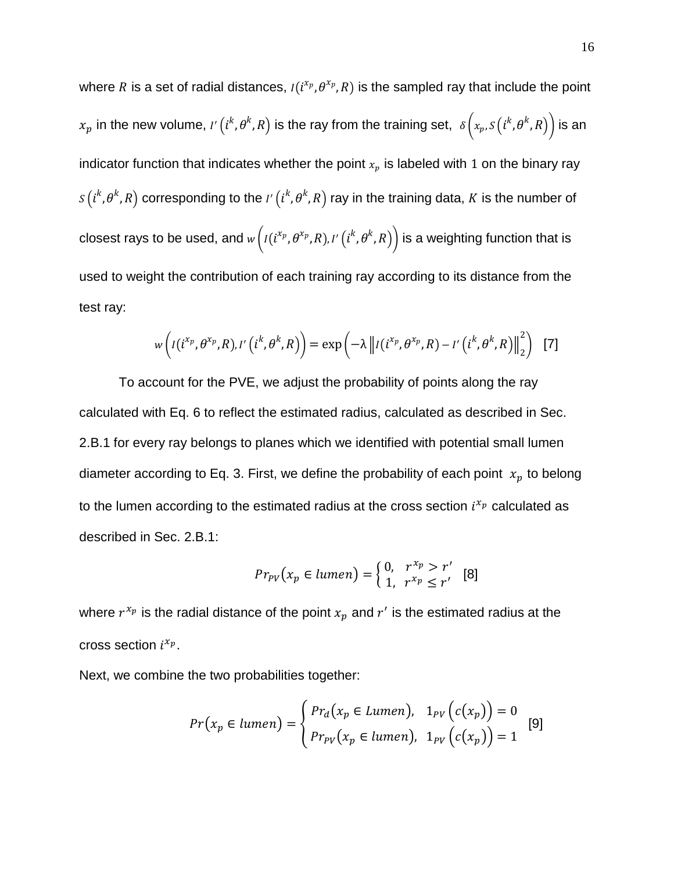where R is a set of radial distances,  $I(i^{x_p},\theta^{x_p},R)$  is the sampled ray that include the point  $x_p$  in the new volume,  $I'\left(l^k,\theta^k,R\right)$  is the ray from the training set,  $\;$   $\delta\left(x_p,S\left(l^k,\theta^k,R\right)\right)$  is an . indicator function that indicates whether the point  $x_p$  is labeled with 1 on the binary ray  $s(i^k, \theta^k, R)$  corresponding to the  $I^\prime$   $(i^k, \theta^k, R)$  ray in the training data,  $K$  is the number of closest rays to be used, and  $_{W}\big(I(i^{x_p},\theta^{x_p},R),I'\big(i^k,\theta^k,R\big)\big)$  is a weighting function that is used to weight the contribution of each training ray according to its distance from the test ray:

$$
w\left(I(i^{x_p},\theta^{x_p},R),I'\left(i^k,\theta^k,R\right)\right)=\exp\left(-\lambda\left\|I(i^{x_p},\theta^{x_p},R)-I'\left(i^k,\theta^k,R\right)\right\|_2^2\right)
$$
[7]

To account for the PVE, we adjust the probability of points along the ray calculated with Eq. 6 to reflect the estimated radius, calculated as described in Sec. 2.B.1 for every ray belongs to planes which we identified with potential small lumen diameter according to Eq. 3. First, we define the probability of each point  $x_p$  to belong to the lumen according to the estimated radius at the cross section  $i^{x_p}$  calculated as described in Sec. 2.B.1:

$$
Pr_{PV}(x_p \in lumen) = \begin{cases} 0, & r^{x_p} > r' \\ 1, & r^{x_p} \le r' \end{cases}
$$
 [8]

where  $r^{x_p}$  is the radial distance of the point  $x_p$  and  $r^\prime$  is the estimated radius at the cross section  $i^{x_p}$ .

Next, we combine the two probabilities together:

$$
Pr(x_p \in lumen) = \begin{cases} Pr_d(x_p \in Lumen), & 1_{PV}(c(x_p)) = 0\\ Pr_{PV}(x_p \in lumen), & 1_{PV}(c(x_p)) = 1 \end{cases}
$$
 [9]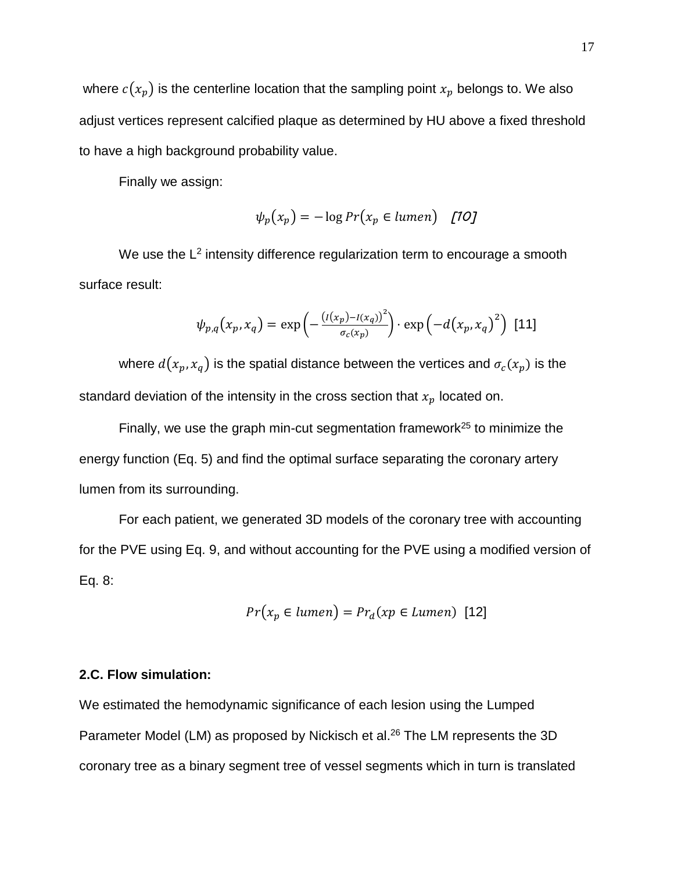where  $c(x_p)$  is the centerline location that the sampling point  $x_p$  belongs to. We also adjust vertices represent calcified plaque as determined by HU above a fixed threshold to have a high background probability value.

Finally we assign:

$$
\psi_p(x_p) = -\log Pr(x_p \in lumen) \quad [10]
$$

We use the  $L^2$  intensity difference regularization term to encourage a smooth surface result:

$$
\psi_{p,q}(x_p, x_q) = \exp\left(-\frac{\left(\frac{I(x_p) - I(x_q)}{2}\right)^2}{\sigma_c(x_p)}\right) \cdot \exp\left(-d\left(x_p, x_q\right)^2\right) \tag{11}
$$

where  $d(x_p, x_q)$  is the spatial distance between the vertices and  $\sigma_c(x_p)$  is the standard deviation of the intensity in the cross section that  $x_p$  located on.

Finally, we use the graph min-cut segmentation framework<sup>25</sup> to minimize the energy function (Eq. 5) and find the optimal surface separating the coronary artery lumen from its surrounding.

For each patient, we generated 3D models of the coronary tree with accounting for the PVE using Eq. 9, and without accounting for the PVE using a modified version of Eq. 8:

$$
Pr(x_p \in lumen) = Pr_d(xp \in lumen) [12]
$$

# **2.C. Flow simulation:**

We estimated the hemodynamic significance of each lesion using the Lumped Parameter Model (LM) as proposed by Nickisch et al.<sup>26</sup> The LM represents the 3D coronary tree as a binary segment tree of vessel segments which in turn is translated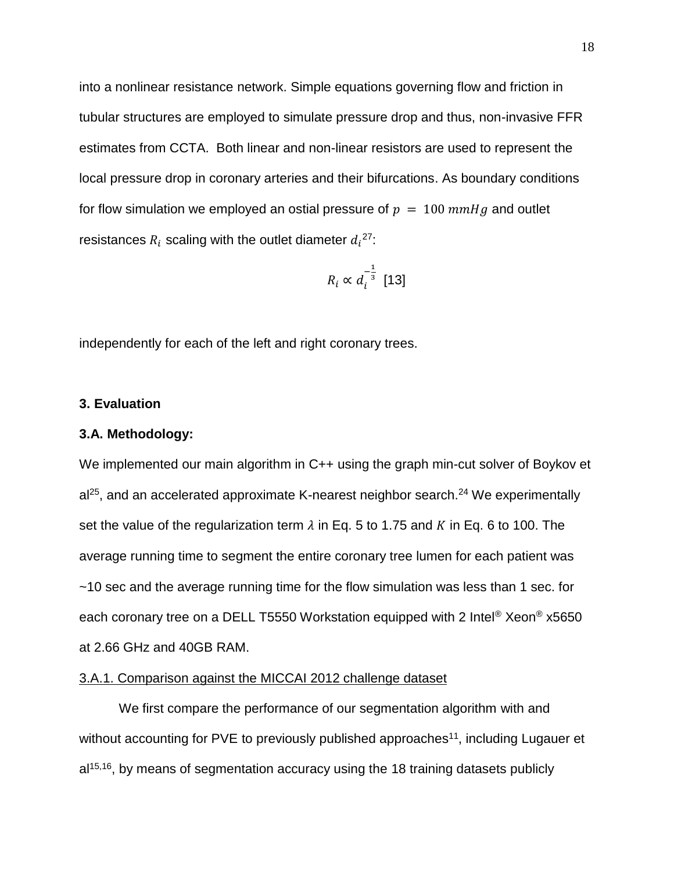into a nonlinear resistance network. Simple equations governing flow and friction in tubular structures are employed to simulate pressure drop and thus, non-invasive FFR estimates from CCTA. Both linear and non-linear resistors are used to represent the local pressure drop in coronary arteries and their bifurcations. As boundary conditions for flow simulation we employed an ostial pressure of  $p = 100$  mmHg and outlet resistances  $R_i$  scaling with the outlet diameter  $d_i^{27}$ :

$$
R_i \propto d_i^{-\frac{1}{3}} \ [13]
$$

independently for each of the left and right coronary trees.

## **3. Evaluation**

## **3.A. Methodology:**

We implemented our main algorithm in C++ using the graph min-cut solver of Boykov et  $al^{25}$ , and an accelerated approximate K-nearest neighbor search.<sup>24</sup> We experimentally set the value of the regularization term  $\lambda$  in Eq. 5 to 1.75 and K in Eq. 6 to 100. The average running time to segment the entire coronary tree lumen for each patient was ~10 sec and the average running time for the flow simulation was less than 1 sec. for each coronary tree on a DELL T5550 Workstation equipped with 2 Intel® Xeon® x5650 at 2.66 GHz and 40GB RAM.

# 3.A.1. Comparison against the MICCAI 2012 challenge dataset

We first compare the performance of our segmentation algorithm with and without accounting for PVE to previously published approaches<sup>11</sup>, including Lugauer et al<sup>15,16</sup>, by means of segmentation accuracy using the 18 training datasets publicly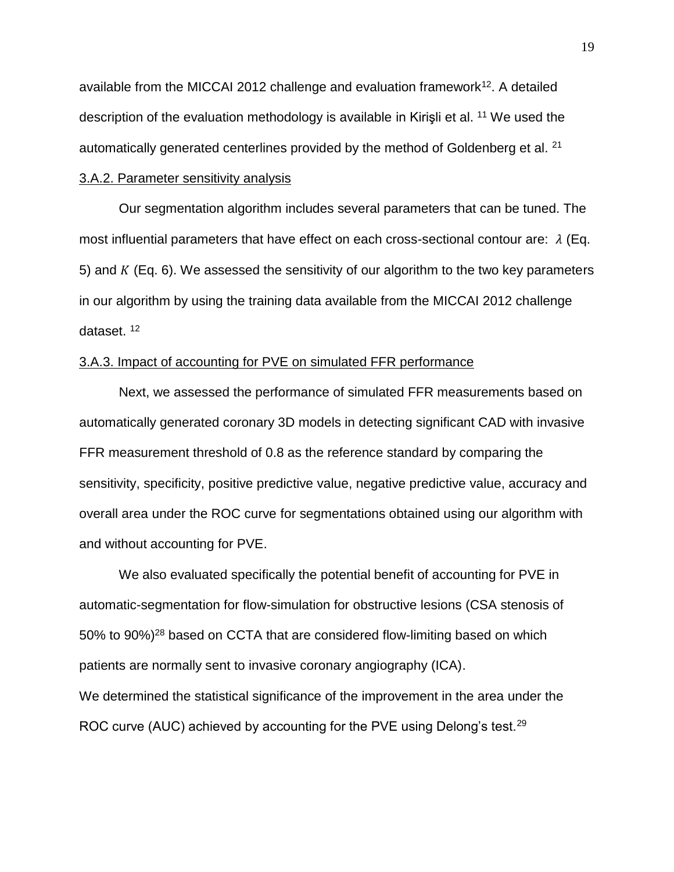available from the MICCAI 2012 challenge and evaluation framework<sup>12</sup>. A detailed description of the evaluation methodology is available in Kirisli et al. <sup>11</sup> We used the automatically generated centerlines provided by the method of Goldenberg et al. <sup>21</sup>

# 3.A.2. Parameter sensitivity analysis

Our segmentation algorithm includes several parameters that can be tuned. The most influential parameters that have effect on each cross-sectional contour are:  $\lambda$  (Eq. 5) and  $K$  (Eq. 6). We assessed the sensitivity of our algorithm to the two key parameters in our algorithm by using the training data available from the MICCAI 2012 challenge dataset. <sup>12</sup>

# 3.A.3. Impact of accounting for PVE on simulated FFR performance

Next, we assessed the performance of simulated FFR measurements based on automatically generated coronary 3D models in detecting significant CAD with invasive FFR measurement threshold of 0.8 as the reference standard by comparing the sensitivity, specificity, positive predictive value, negative predictive value, accuracy and overall area under the ROC curve for segmentations obtained using our algorithm with and without accounting for PVE.

We also evaluated specifically the potential benefit of accounting for PVE in automatic-segmentation for flow-simulation for obstructive lesions (CSA stenosis of 50% to 90%)<sup>28</sup> based on CCTA that are considered flow-limiting based on which patients are normally sent to invasive coronary angiography (ICA). We determined the statistical significance of the improvement in the area under the ROC curve (AUC) achieved by accounting for the PVE using Delong's test.<sup>29</sup>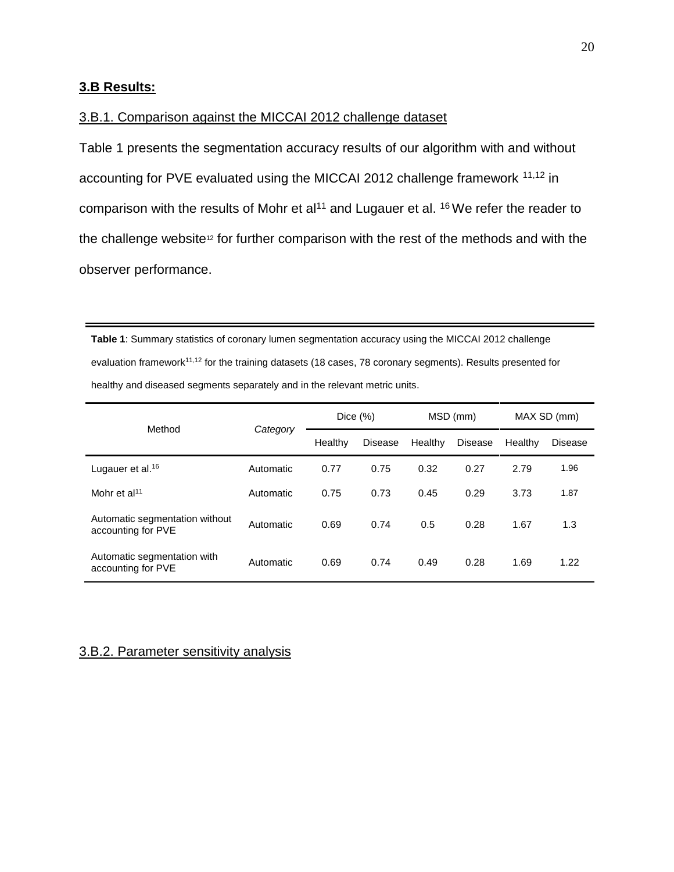## **3.B Results:**

# 3.B.1. Comparison against the MICCAI 2012 challenge dataset

Table 1 presents the segmentation accuracy results of our algorithm with and without accounting for PVE evaluated using the MICCAI 2012 challenge framework 11,12 in comparison with the results of Mohr et al<sup>11</sup> and Lugauer et al. <sup>16</sup> We refer the reader to the challenge website<sup>12</sup> for further comparison with the rest of the methods and with the observer performance.

**Table 1**: Summary statistics of coronary lumen segmentation accuracy using the MICCAI 2012 challenge evaluation framework<sup>11,12</sup> for the training datasets (18 cases, 78 coronary segments). Results presented for healthy and diseased segments separately and in the relevant metric units.

| Method                                               | Category  | Dice $(\%)$ |                | MSD (mm) |                | MAX SD (mm) |                |
|------------------------------------------------------|-----------|-------------|----------------|----------|----------------|-------------|----------------|
|                                                      |           | Healthy     | <b>Disease</b> | Healthy  | <b>Disease</b> | Healthy     | <b>Disease</b> |
| Lugauer et al. <sup>16</sup>                         | Automatic | 0.77        | 0.75           | 0.32     | 0.27           | 2.79        | 1.96           |
| Mohr et al <sup>11</sup>                             | Automatic | 0.75        | 0.73           | 0.45     | 0.29           | 3.73        | 1.87           |
| Automatic segmentation without<br>accounting for PVE | Automatic | 0.69        | 0.74           | 0.5      | 0.28           | 1.67        | 1.3            |
| Automatic segmentation with<br>accounting for PVE    | Automatic | 0.69        | 0.74           | 0.49     | 0.28           | 1.69        | 1.22           |

## 3.B.2. Parameter sensitivity analysis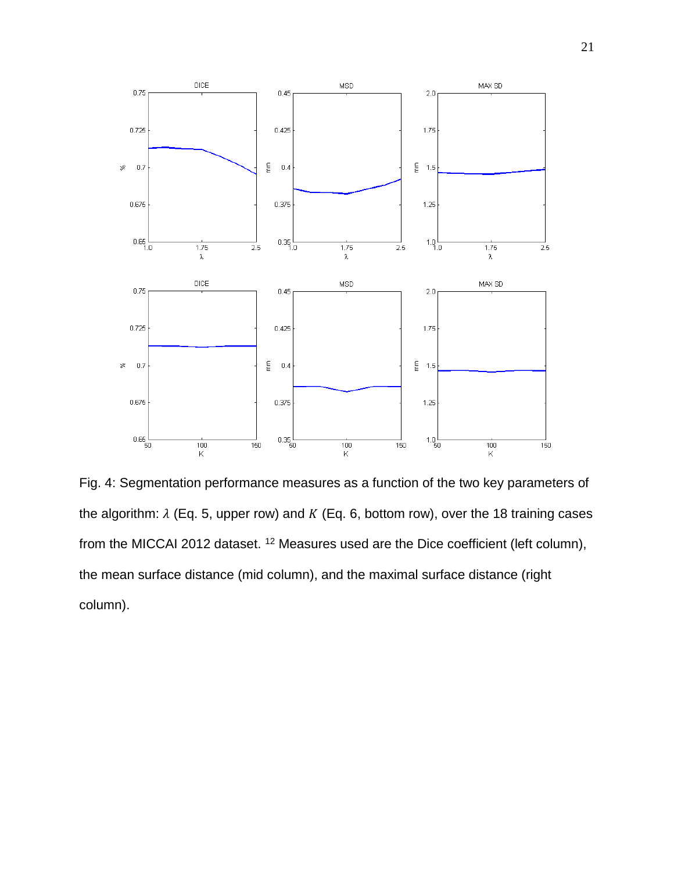

Fig. 4: Segmentation performance measures as a function of the two key parameters of the algorithm:  $\lambda$  (Eq. 5, upper row) and K (Eq. 6, bottom row), over the 18 training cases from the MICCAI 2012 dataset. <sup>12</sup> Measures used are the Dice coefficient (left column), the mean surface distance (mid column), and the maximal surface distance (right column).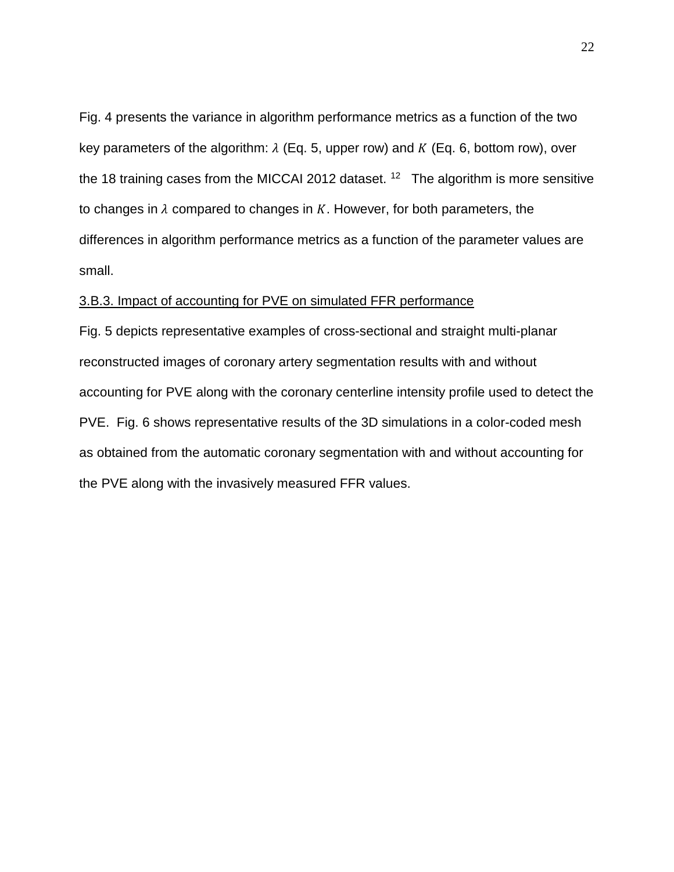Fig. 4 presents the variance in algorithm performance metrics as a function of the two key parameters of the algorithm:  $\lambda$  (Eq. 5, upper row) and K (Eq. 6, bottom row), over the 18 training cases from the MICCAI 2012 dataset.  $12$  The algorithm is more sensitive to changes in  $\lambda$  compared to changes in K. However, for both parameters, the differences in algorithm performance metrics as a function of the parameter values are small.

# 3.B.3. Impact of accounting for PVE on simulated FFR performance

Fig. 5 depicts representative examples of cross-sectional and straight multi-planar reconstructed images of coronary artery segmentation results with and without accounting for PVE along with the coronary centerline intensity profile used to detect the PVE. Fig. 6 shows representative results of the 3D simulations in a color-coded mesh as obtained from the automatic coronary segmentation with and without accounting for the PVE along with the invasively measured FFR values.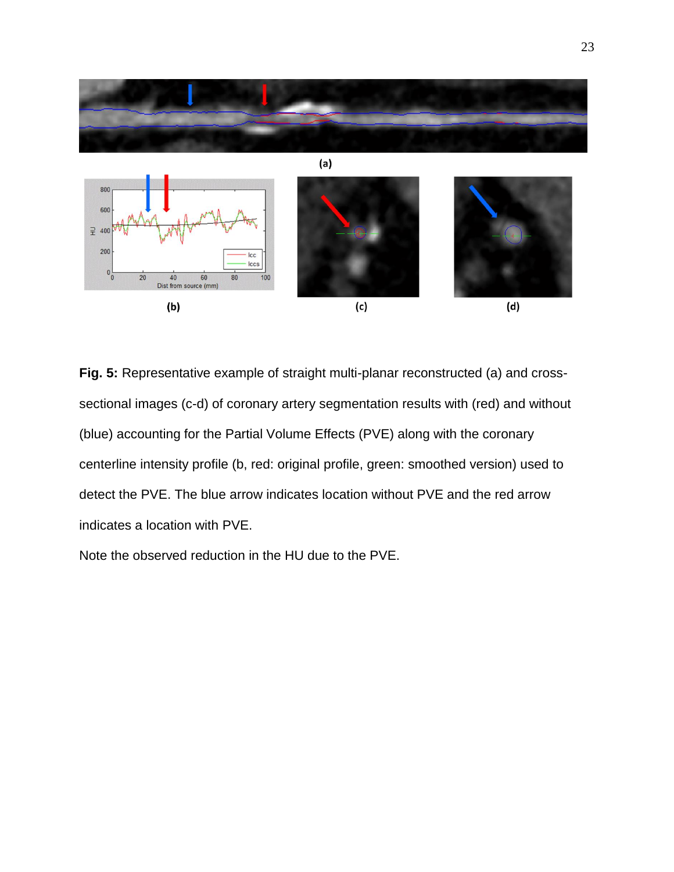

**Fig. 5:** Representative example of straight multi-planar reconstructed (a) and crosssectional images (c-d) of coronary artery segmentation results with (red) and without (blue) accounting for the Partial Volume Effects (PVE) along with the coronary centerline intensity profile (b, red: original profile, green: smoothed version) used to detect the PVE. The blue arrow indicates location without PVE and the red arrow indicates a location with PVE.

Note the observed reduction in the HU due to the PVE.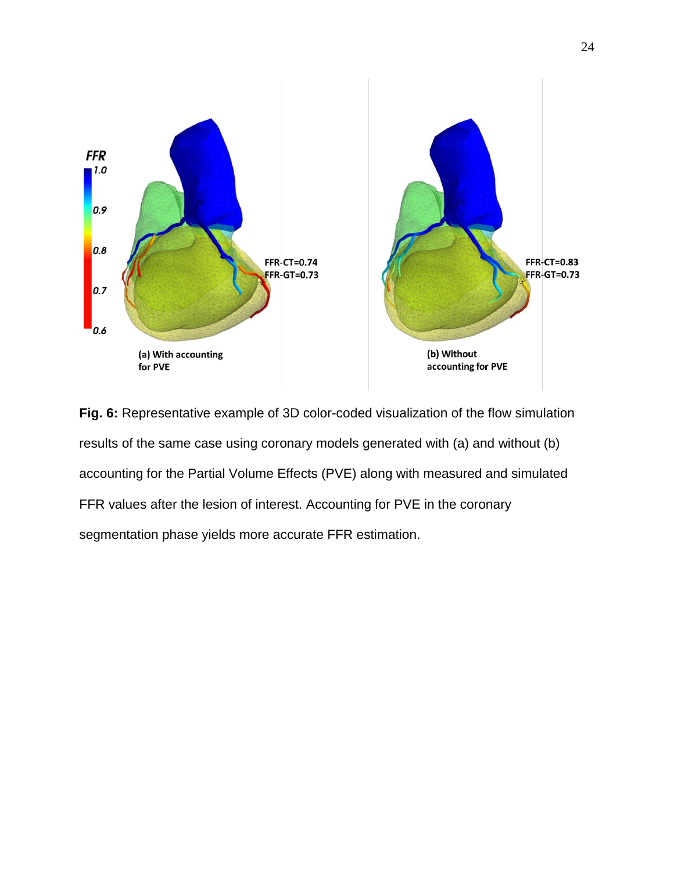

**Fig. 6:** Representative example of 3D color-coded visualization of the flow simulation results of the same case using coronary models generated with (a) and without (b) accounting for the Partial Volume Effects (PVE) along with measured and simulated FFR values after the lesion of interest. Accounting for PVE in the coronary segmentation phase yields more accurate FFR estimation.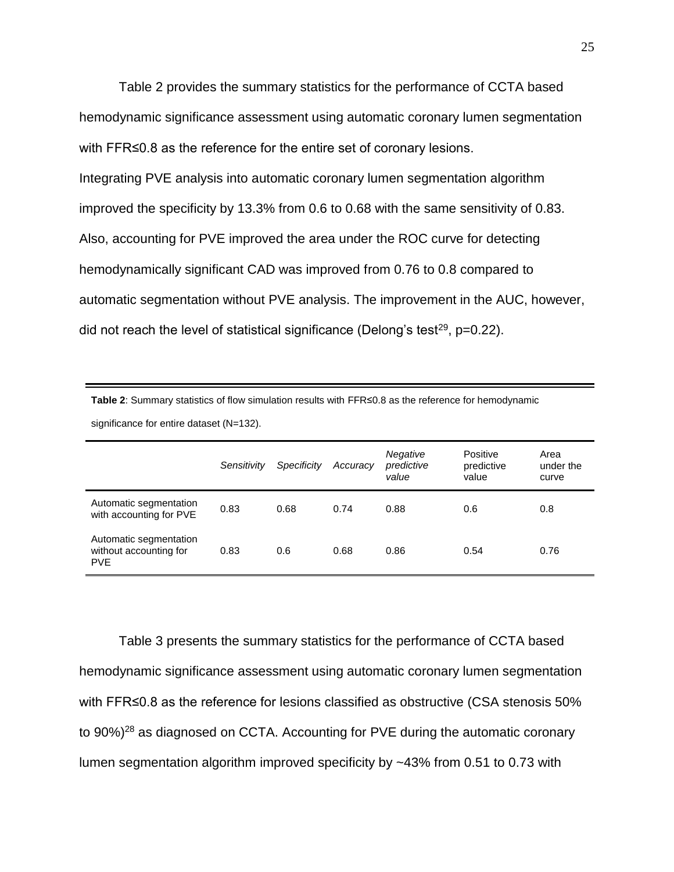Table 2 provides the summary statistics for the performance of CCTA based hemodynamic significance assessment using automatic coronary lumen segmentation with FFR≤0.8 as the reference for the entire set of coronary lesions. Integrating PVE analysis into automatic coronary lumen segmentation algorithm improved the specificity by 13.3% from 0.6 to 0.68 with the same sensitivity of 0.83. Also, accounting for PVE improved the area under the ROC curve for detecting hemodynamically significant CAD was improved from 0.76 to 0.8 compared to automatic segmentation without PVE analysis. The improvement in the AUC, however, did not reach the level of statistical significance (Delong's test<sup>29</sup>, p=0.22).

| significance for entire dataset (N=132).                       |             |             |          |                                 |                                 |                            |  |
|----------------------------------------------------------------|-------------|-------------|----------|---------------------------------|---------------------------------|----------------------------|--|
|                                                                | Sensitivity | Specificity | Accuracy | Negative<br>predictive<br>value | Positive<br>predictive<br>value | Area<br>under the<br>curve |  |
| Automatic segmentation<br>with accounting for PVE              | 0.83        | 0.68        | 0.74     | 0.88                            | 0.6                             | 0.8                        |  |
| Automatic segmentation<br>without accounting for<br><b>PVE</b> | 0.83        | 0.6         | 0.68     | 0.86                            | 0.54                            | 0.76                       |  |

**Table 2**: Summary statistics of flow simulation results with FFR≤0.8 as the reference for hemodynamic

Table 3 presents the summary statistics for the performance of CCTA based hemodynamic significance assessment using automatic coronary lumen segmentation with FFR≤0.8 as the reference for lesions classified as obstructive (CSA stenosis 50% to 90%)<sup>28</sup> as diagnosed on CCTA. Accounting for PVE during the automatic coronary lumen segmentation algorithm improved specificity by ~43% from 0.51 to 0.73 with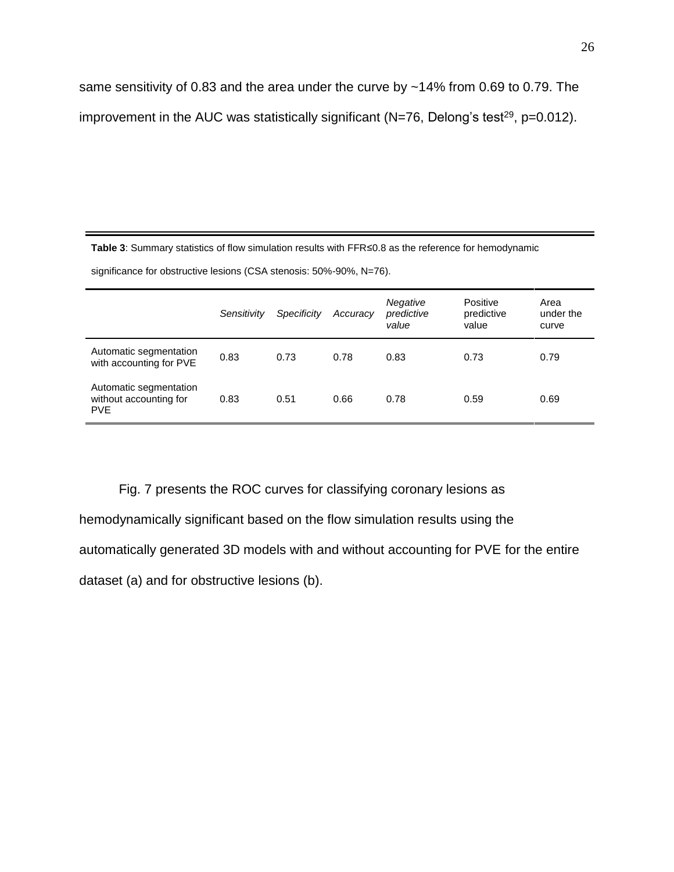same sensitivity of 0.83 and the area under the curve by ~14% from 0.69 to 0.79. The improvement in the AUC was statistically significant (N=76, Delong's test<sup>29</sup>, p=0.012).

**Table 3**: Summary statistics of flow simulation results with FFR≤0.8 as the reference for hemodynamic

significance for obstructive lesions (CSA stenosis: 50%-90%, N=76).

|                                                                | Sensitivity | Specificity | Accuracy | Negative<br>predictive<br>value | Positive<br>predictive<br>value | Area<br>under the<br>curve |
|----------------------------------------------------------------|-------------|-------------|----------|---------------------------------|---------------------------------|----------------------------|
| Automatic segmentation<br>with accounting for PVE              | 0.83        | 0.73        | 0.78     | 0.83                            | 0.73                            | 0.79                       |
| Automatic segmentation<br>without accounting for<br><b>PVE</b> | 0.83        | 0.51        | 0.66     | 0.78                            | 0.59                            | 0.69                       |

Fig. 7 presents the ROC curves for classifying coronary lesions as

hemodynamically significant based on the flow simulation results using the

automatically generated 3D models with and without accounting for PVE for the entire

dataset (a) and for obstructive lesions (b).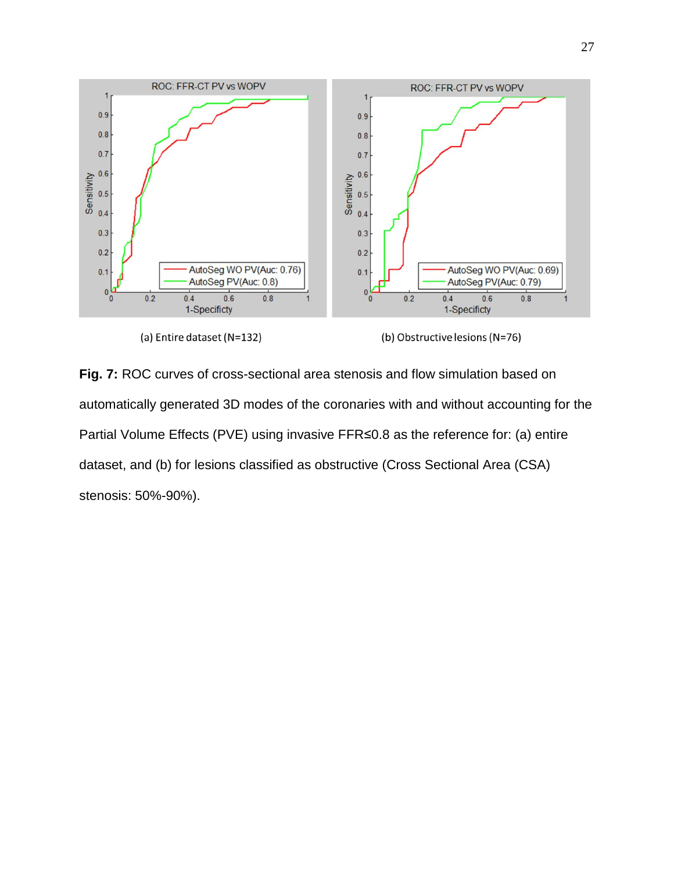

(a) Entire dataset (N=132)

(b) Obstructive lesions (N=76)

**Fig. 7:** ROC curves of cross-sectional area stenosis and flow simulation based on automatically generated 3D modes of the coronaries with and without accounting for the Partial Volume Effects (PVE) using invasive FFR≤0.8 as the reference for: (a) entire dataset, and (b) for lesions classified as obstructive (Cross Sectional Area (CSA) stenosis: 50%-90%).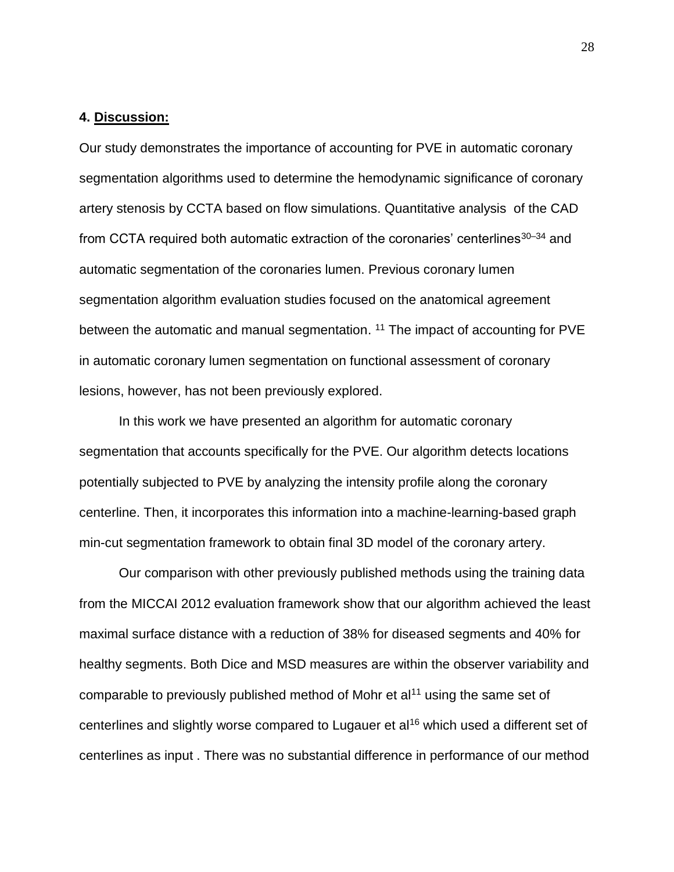# **4. Discussion:**

Our study demonstrates the importance of accounting for PVE in automatic coronary segmentation algorithms used to determine the hemodynamic significance of coronary artery stenosis by CCTA based on flow simulations. Quantitative analysis of the CAD from CCTA required both automatic extraction of the coronaries' centerlines $30-34$  and automatic segmentation of the coronaries lumen. Previous coronary lumen segmentation algorithm evaluation studies focused on the anatomical agreement between the automatic and manual segmentation. <sup>11</sup> The impact of accounting for PVE in automatic coronary lumen segmentation on functional assessment of coronary lesions, however, has not been previously explored.

In this work we have presented an algorithm for automatic coronary segmentation that accounts specifically for the PVE. Our algorithm detects locations potentially subjected to PVE by analyzing the intensity profile along the coronary centerline. Then, it incorporates this information into a machine-learning-based graph min-cut segmentation framework to obtain final 3D model of the coronary artery.

Our comparison with other previously published methods using the training data from the MICCAI 2012 evaluation framework show that our algorithm achieved the least maximal surface distance with a reduction of 38% for diseased segments and 40% for healthy segments. Both Dice and MSD measures are within the observer variability and comparable to previously published method of Mohr et al<sup>11</sup> using the same set of centerlines and slightly worse compared to Lugauer et al<sup>16</sup> which used a different set of centerlines as input . There was no substantial difference in performance of our method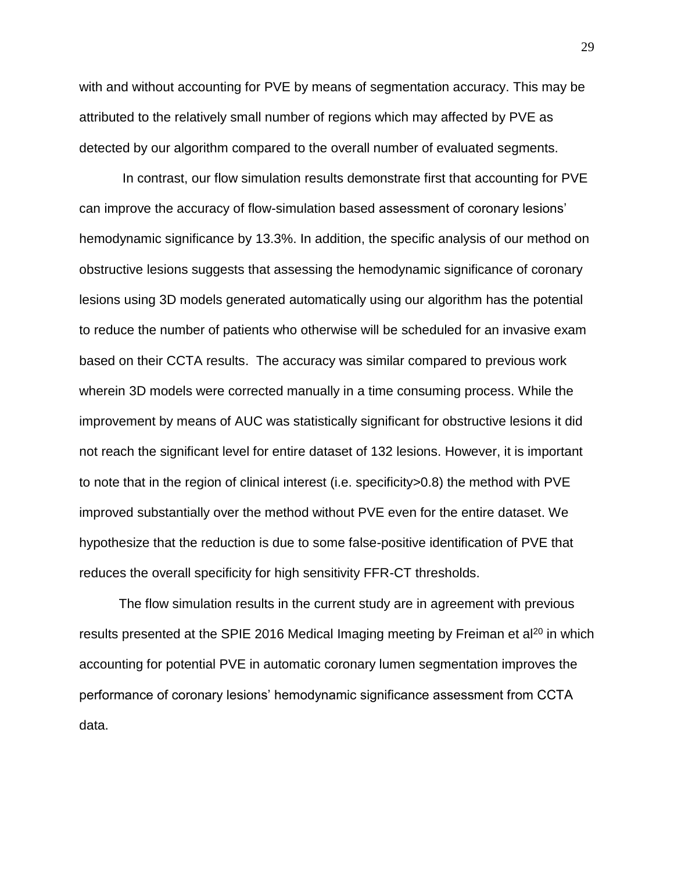with and without accounting for PVE by means of segmentation accuracy. This may be attributed to the relatively small number of regions which may affected by PVE as detected by our algorithm compared to the overall number of evaluated segments.

In contrast, our flow simulation results demonstrate first that accounting for PVE can improve the accuracy of flow-simulation based assessment of coronary lesions' hemodynamic significance by 13.3%. In addition, the specific analysis of our method on obstructive lesions suggests that assessing the hemodynamic significance of coronary lesions using 3D models generated automatically using our algorithm has the potential to reduce the number of patients who otherwise will be scheduled for an invasive exam based on their CCTA results. The accuracy was similar compared to previous work wherein 3D models were corrected manually in a time consuming process. While the improvement by means of AUC was statistically significant for obstructive lesions it did not reach the significant level for entire dataset of 132 lesions. However, it is important to note that in the region of clinical interest (i.e. specificity>0.8) the method with PVE improved substantially over the method without PVE even for the entire dataset. We hypothesize that the reduction is due to some false-positive identification of PVE that reduces the overall specificity for high sensitivity FFR-CT thresholds.

The flow simulation results in the current study are in agreement with previous results presented at the SPIE 2016 Medical Imaging meeting by Freiman et al<sup>20</sup> in which accounting for potential PVE in automatic coronary lumen segmentation improves the performance of coronary lesions' hemodynamic significance assessment from CCTA data.

29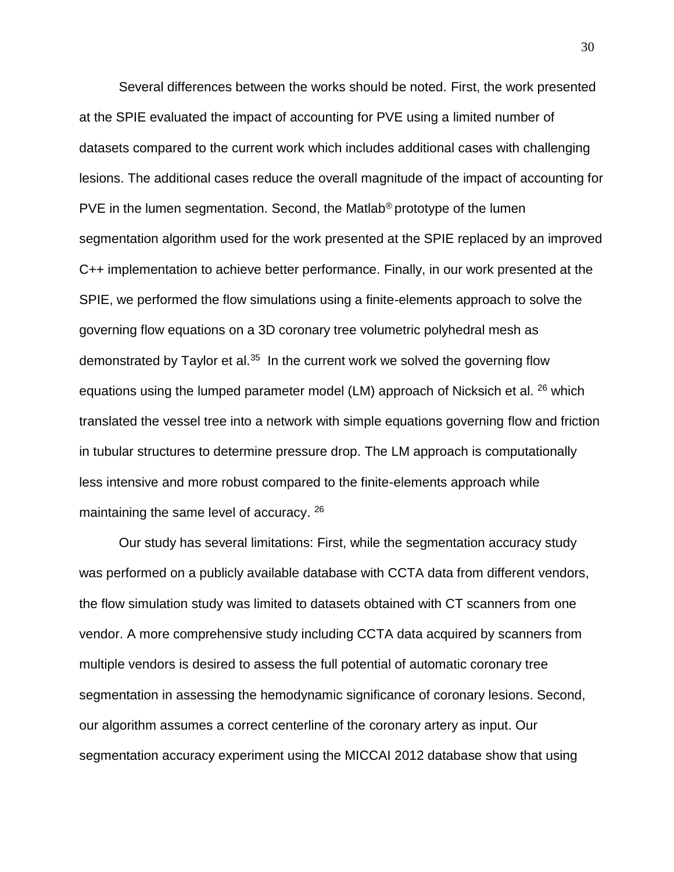Several differences between the works should be noted. First, the work presented at the SPIE evaluated the impact of accounting for PVE using a limited number of datasets compared to the current work which includes additional cases with challenging lesions. The additional cases reduce the overall magnitude of the impact of accounting for PVE in the lumen segmentation. Second, the Matlab® prototype of the lumen segmentation algorithm used for the work presented at the SPIE replaced by an improved C++ implementation to achieve better performance. Finally, in our work presented at the SPIE, we performed the flow simulations using a finite-elements approach to solve the governing flow equations on a 3D coronary tree volumetric polyhedral mesh as demonstrated by Taylor et al.<sup>35</sup> In the current work we solved the governing flow equations using the lumped parameter model (LM) approach of Nicksich et al. <sup>26</sup> which translated the vessel tree into a network with simple equations governing flow and friction in tubular structures to determine pressure drop. The LM approach is computationally less intensive and more robust compared to the finite-elements approach while maintaining the same level of accuracy. <sup>26</sup>

Our study has several limitations: First, while the segmentation accuracy study was performed on a publicly available database with CCTA data from different vendors, the flow simulation study was limited to datasets obtained with CT scanners from one vendor. A more comprehensive study including CCTA data acquired by scanners from multiple vendors is desired to assess the full potential of automatic coronary tree segmentation in assessing the hemodynamic significance of coronary lesions. Second, our algorithm assumes a correct centerline of the coronary artery as input. Our segmentation accuracy experiment using the MICCAI 2012 database show that using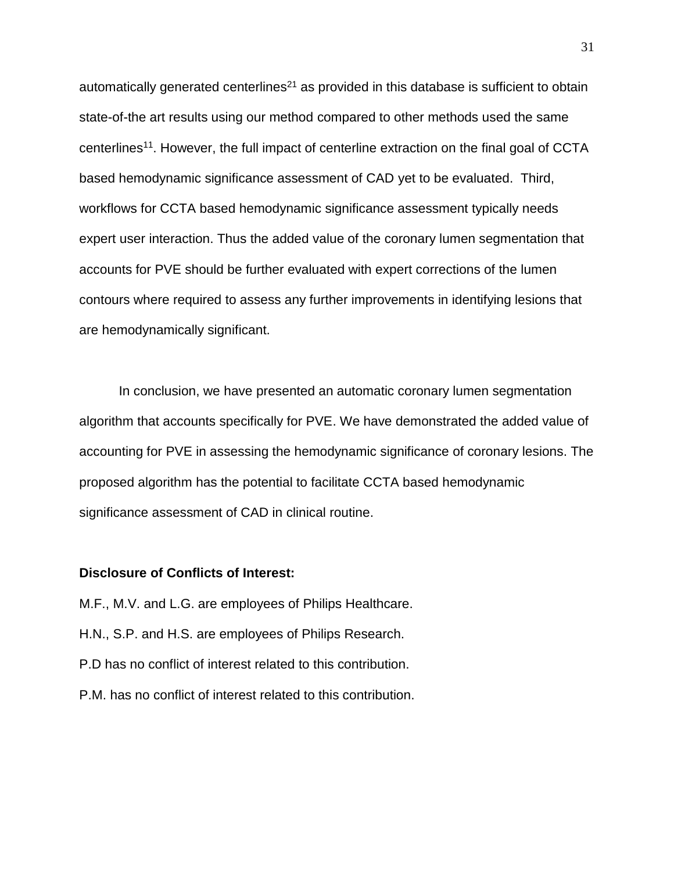automatically generated centerlines<sup>21</sup> as provided in this database is sufficient to obtain state-of-the art results using our method compared to other methods used the same centerlines<sup>11</sup>. However, the full impact of centerline extraction on the final goal of CCTA based hemodynamic significance assessment of CAD yet to be evaluated. Third, workflows for CCTA based hemodynamic significance assessment typically needs expert user interaction. Thus the added value of the coronary lumen segmentation that accounts for PVE should be further evaluated with expert corrections of the lumen contours where required to assess any further improvements in identifying lesions that are hemodynamically significant.

In conclusion, we have presented an automatic coronary lumen segmentation algorithm that accounts specifically for PVE. We have demonstrated the added value of accounting for PVE in assessing the hemodynamic significance of coronary lesions. The proposed algorithm has the potential to facilitate CCTA based hemodynamic significance assessment of CAD in clinical routine.

### **Disclosure of Conflicts of Interest:**

M.F., M.V. and L.G. are employees of Philips Healthcare. H.N., S.P. and H.S. are employees of Philips Research. P.D has no conflict of interest related to this contribution. P.M. has no conflict of interest related to this contribution.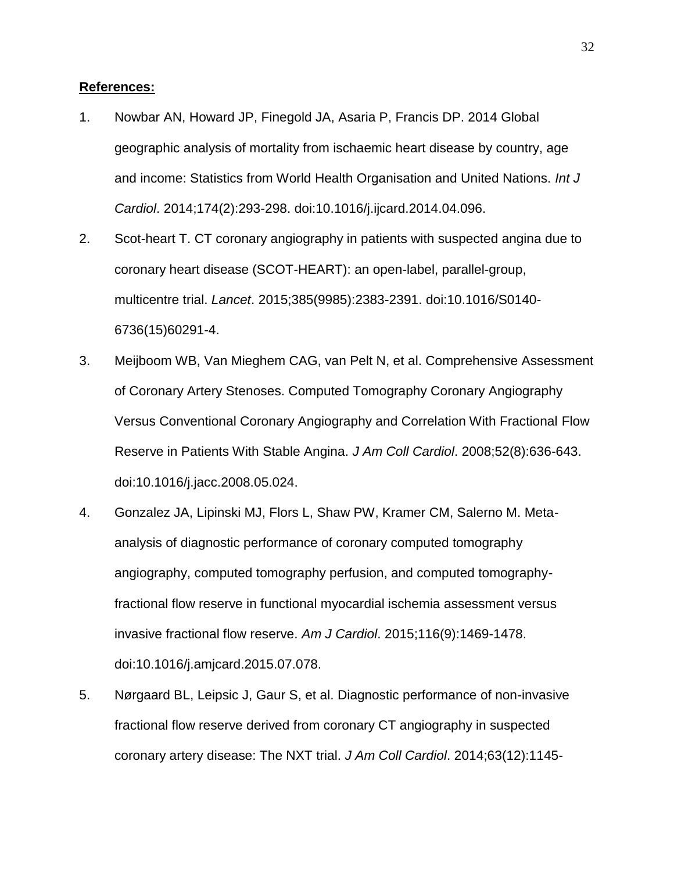# **References:**

- 1. Nowbar AN, Howard JP, Finegold JA, Asaria P, Francis DP. 2014 Global geographic analysis of mortality from ischaemic heart disease by country, age and income: Statistics from World Health Organisation and United Nations. *Int J Cardiol*. 2014;174(2):293-298. doi:10.1016/j.ijcard.2014.04.096.
- 2. Scot-heart T. CT coronary angiography in patients with suspected angina due to coronary heart disease (SCOT-HEART): an open-label, parallel-group, multicentre trial. *Lancet*. 2015;385(9985):2383-2391. doi:10.1016/S0140- 6736(15)60291-4.
- 3. Meijboom WB, Van Mieghem CAG, van Pelt N, et al. Comprehensive Assessment of Coronary Artery Stenoses. Computed Tomography Coronary Angiography Versus Conventional Coronary Angiography and Correlation With Fractional Flow Reserve in Patients With Stable Angina. *J Am Coll Cardiol*. 2008;52(8):636-643. doi:10.1016/j.jacc.2008.05.024.
- 4. Gonzalez JA, Lipinski MJ, Flors L, Shaw PW, Kramer CM, Salerno M. Metaanalysis of diagnostic performance of coronary computed tomography angiography, computed tomography perfusion, and computed tomographyfractional flow reserve in functional myocardial ischemia assessment versus invasive fractional flow reserve. *Am J Cardiol*. 2015;116(9):1469-1478. doi:10.1016/j.amjcard.2015.07.078.
- 5. Nørgaard BL, Leipsic J, Gaur S, et al. Diagnostic performance of non-invasive fractional flow reserve derived from coronary CT angiography in suspected coronary artery disease: The NXT trial. *J Am Coll Cardiol*. 2014;63(12):1145-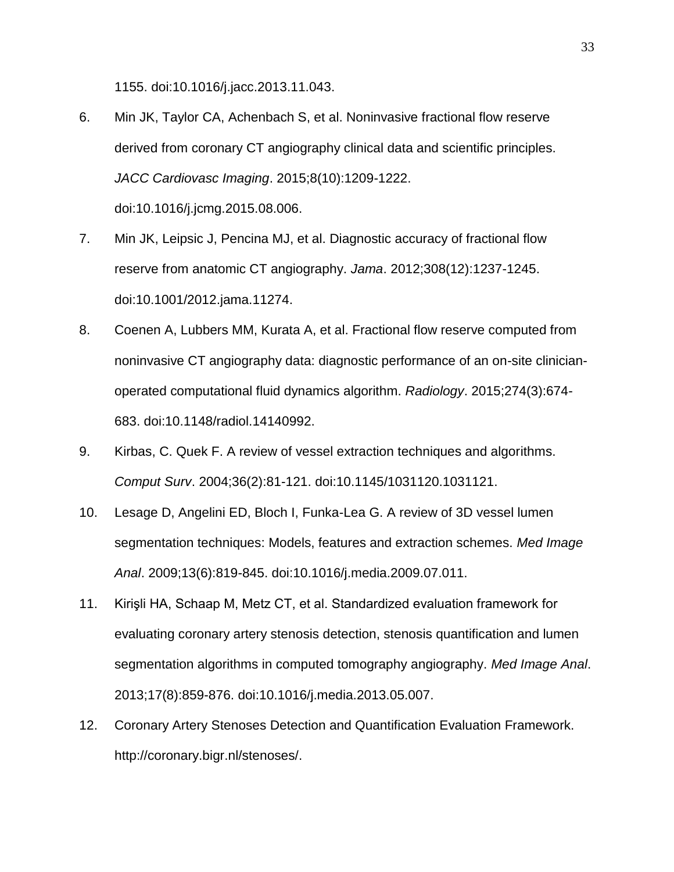1155. doi:10.1016/j.jacc.2013.11.043.

- 6. Min JK, Taylor CA, Achenbach S, et al. Noninvasive fractional flow reserve derived from coronary CT angiography clinical data and scientific principles. *JACC Cardiovasc Imaging*. 2015;8(10):1209-1222. doi:10.1016/j.jcmg.2015.08.006.
- 7. Min JK, Leipsic J, Pencina MJ, et al. Diagnostic accuracy of fractional flow reserve from anatomic CT angiography. *Jama*. 2012;308(12):1237-1245. doi:10.1001/2012.jama.11274.
- 8. Coenen A, Lubbers MM, Kurata A, et al. Fractional flow reserve computed from noninvasive CT angiography data: diagnostic performance of an on-site clinicianoperated computational fluid dynamics algorithm. *Radiology*. 2015;274(3):674- 683. doi:10.1148/radiol.14140992.
- 9. Kirbas, C. Quek F. A review of vessel extraction techniques and algorithms. *Comput Surv*. 2004;36(2):81-121. doi:10.1145/1031120.1031121.
- 10. Lesage D, Angelini ED, Bloch I, Funka-Lea G. A review of 3D vessel lumen segmentation techniques: Models, features and extraction schemes. *Med Image Anal*. 2009;13(6):819-845. doi:10.1016/j.media.2009.07.011.
- 11. Kirişli HA, Schaap M, Metz CT, et al. Standardized evaluation framework for evaluating coronary artery stenosis detection, stenosis quantification and lumen segmentation algorithms in computed tomography angiography. *Med Image Anal*. 2013;17(8):859-876. doi:10.1016/j.media.2013.05.007.
- 12. Coronary Artery Stenoses Detection and Quantification Evaluation Framework. http://coronary.bigr.nl/stenoses/.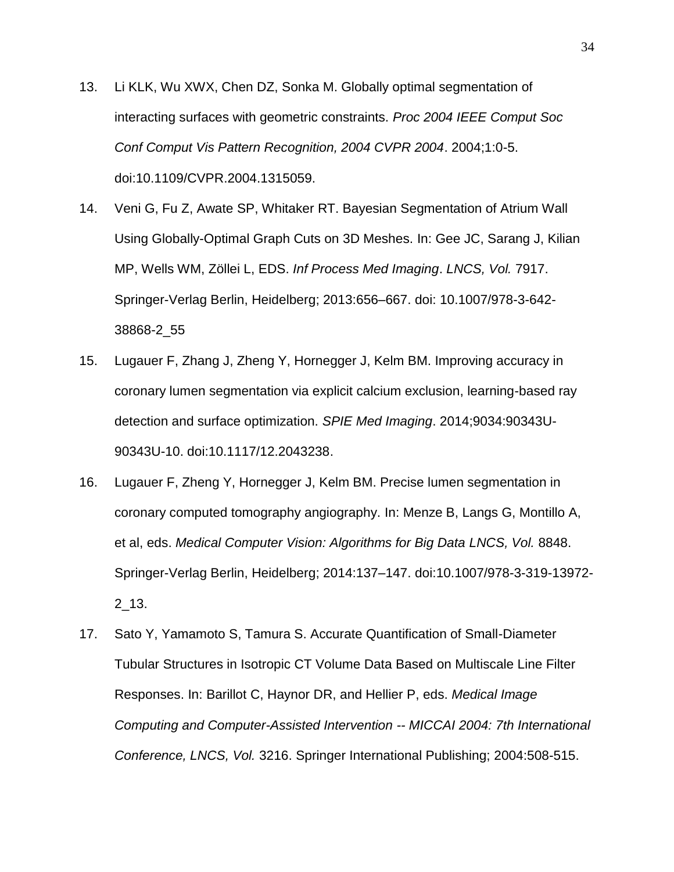- 13. Li KLK, Wu XWX, Chen DZ, Sonka M. Globally optimal segmentation of interacting surfaces with geometric constraints. *Proc 2004 IEEE Comput Soc Conf Comput Vis Pattern Recognition, 2004 CVPR 2004*. 2004;1:0-5. doi:10.1109/CVPR.2004.1315059.
- 14. Veni G, Fu Z, Awate SP, Whitaker RT. Bayesian Segmentation of Atrium Wall Using Globally-Optimal Graph Cuts on 3D Meshes. In: Gee JC, Sarang J, Kilian MP, Wells WM, Zöllei L, EDS. *Inf Process Med Imaging*. *LNCS, Vol.* 7917. Springer-Verlag Berlin, Heidelberg; 2013:656–667. doi: 10.1007/978-3-642- 38868-2\_55
- 15. Lugauer F, Zhang J, Zheng Y, Hornegger J, Kelm BM. Improving accuracy in coronary lumen segmentation via explicit calcium exclusion, learning-based ray detection and surface optimization. *SPIE Med Imaging*. 2014;9034:90343U-90343U-10. doi:10.1117/12.2043238.
- 16. Lugauer F, Zheng Y, Hornegger J, Kelm BM. Precise lumen segmentation in coronary computed tomography angiography. In: [Menze](http://link.springer.com/search?facet-creator=%22Bjoern+Menze%22) B, Langs G, Montillo A, et al, eds. *Medical Computer Vision: Algorithms for Big Data LNCS, Vol.* 8848. Springer-Verlag Berlin, Heidelberg; 2014:137–147. doi:10.1007/978-3-319-13972- 2\_13.
- 17. Sato Y, Yamamoto S, Tamura S. Accurate Quantification of Small-Diameter Tubular Structures in Isotropic CT Volume Data Based on Multiscale Line Filter Responses. In: Barillot C, Haynor DR, and Hellier P, eds. *Medical Image Computing and Computer-Assisted Intervention -- MICCAI 2004: 7th International Conference, LNCS, Vol.* 3216. Springer International Publishing; 2004:508-515.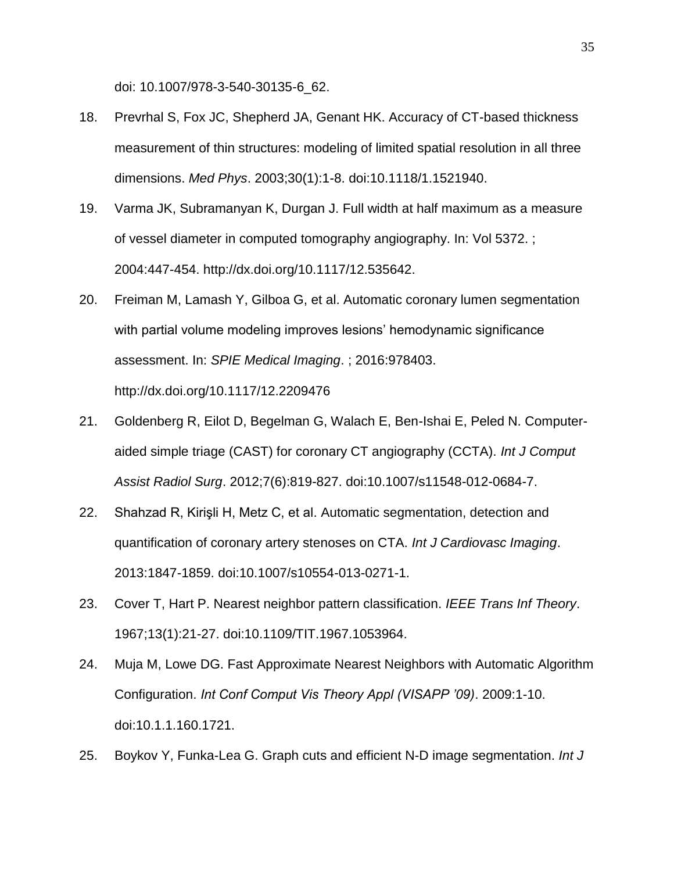doi: 10.1007/978-3-540-30135-6\_62.

- 18. Prevrhal S, Fox JC, Shepherd JA, Genant HK. Accuracy of CT-based thickness measurement of thin structures: modeling of limited spatial resolution in all three dimensions. *Med Phys*. 2003;30(1):1-8. doi:10.1118/1.1521940.
- 19. Varma JK, Subramanyan K, Durgan J. Full width at half maximum as a measure of vessel diameter in computed tomography angiography. In: Vol 5372. ; 2004:447-454. http://dx.doi.org/10.1117/12.535642.
- 20. Freiman M, Lamash Y, Gilboa G, et al. Automatic coronary lumen segmentation with partial volume modeling improves lesions' hemodynamic significance assessment. In: *SPIE Medical Imaging*. ; 2016:978403. http://dx.doi.org/10.1117/12.2209476
- 21. Goldenberg R, Eilot D, Begelman G, Walach E, Ben-Ishai E, Peled N. Computeraided simple triage (CAST) for coronary CT angiography (CCTA). *Int J Comput Assist Radiol Surg*. 2012;7(6):819-827. doi:10.1007/s11548-012-0684-7.
- 22. Shahzad R, Kirişli H, Metz C, et al. Automatic segmentation, detection and quantification of coronary artery stenoses on CTA. *Int J Cardiovasc Imaging*. 2013:1847-1859. doi:10.1007/s10554-013-0271-1.
- 23. Cover T, Hart P. Nearest neighbor pattern classification. *IEEE Trans Inf Theory*. 1967;13(1):21-27. doi:10.1109/TIT.1967.1053964.
- 24. Muja M, Lowe DG. Fast Approximate Nearest Neighbors with Automatic Algorithm Configuration. *Int Conf Comput Vis Theory Appl (VISAPP '09)*. 2009:1-10. doi:10.1.1.160.1721.
- 25. Boykov Y, Funka-Lea G. Graph cuts and efficient N-D image segmentation. *Int J*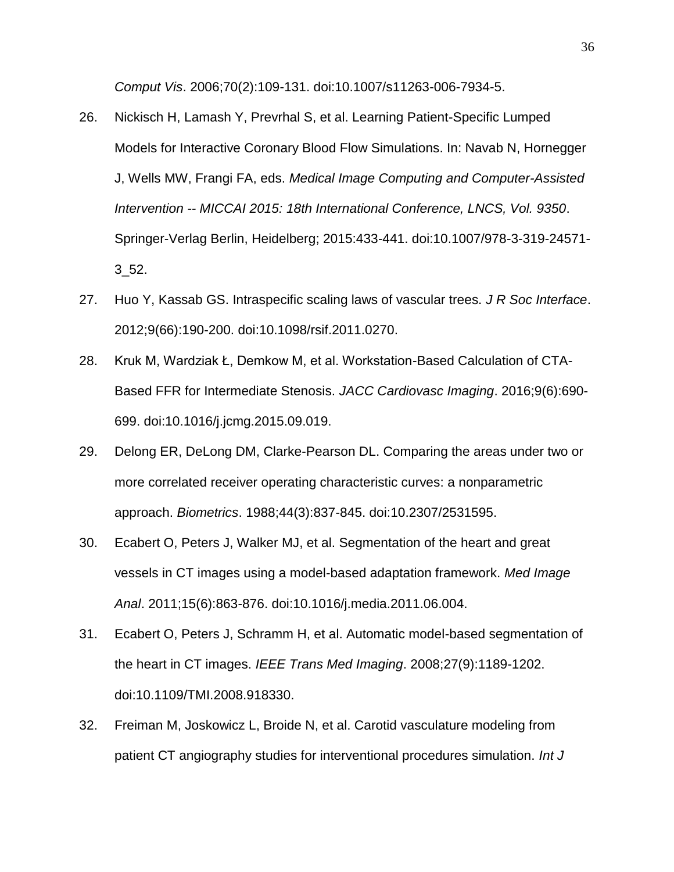*Comput Vis*. 2006;70(2):109-131. doi:10.1007/s11263-006-7934-5.

- 26. Nickisch H, Lamash Y, Prevrhal S, et al. Learning Patient-Specific Lumped Models for Interactive Coronary Blood Flow Simulations. In: Navab N, Hornegger J, Wells MW, Frangi FA, eds. *Medical Image Computing and Computer-Assisted Intervention -- MICCAI 2015: 18th International Conference, LNCS, Vol. 9350*. Springer-Verlag Berlin, Heidelberg; 2015:433-441. doi:10.1007/978-3-319-24571- 3\_52.
- 27. Huo Y, Kassab GS. Intraspecific scaling laws of vascular trees. *J R Soc Interface*. 2012;9(66):190-200. doi:10.1098/rsif.2011.0270.
- 28. Kruk M, Wardziak Ł, Demkow M, et al. Workstation-Based Calculation of CTA-Based FFR for Intermediate Stenosis. *JACC Cardiovasc Imaging*. 2016;9(6):690- 699. doi:10.1016/j.jcmg.2015.09.019.
- 29. Delong ER, DeLong DM, Clarke-Pearson DL. Comparing the areas under two or more correlated receiver operating characteristic curves: a nonparametric approach. *Biometrics*. 1988;44(3):837-845. doi:10.2307/2531595.
- 30. Ecabert O, Peters J, Walker MJ, et al. Segmentation of the heart and great vessels in CT images using a model-based adaptation framework. *Med Image Anal*. 2011;15(6):863-876. doi:10.1016/j.media.2011.06.004.
- 31. Ecabert O, Peters J, Schramm H, et al. Automatic model-based segmentation of the heart in CT images. *IEEE Trans Med Imaging*. 2008;27(9):1189-1202. doi:10.1109/TMI.2008.918330.
- 32. Freiman M, Joskowicz L, Broide N, et al. Carotid vasculature modeling from patient CT angiography studies for interventional procedures simulation. *Int J*